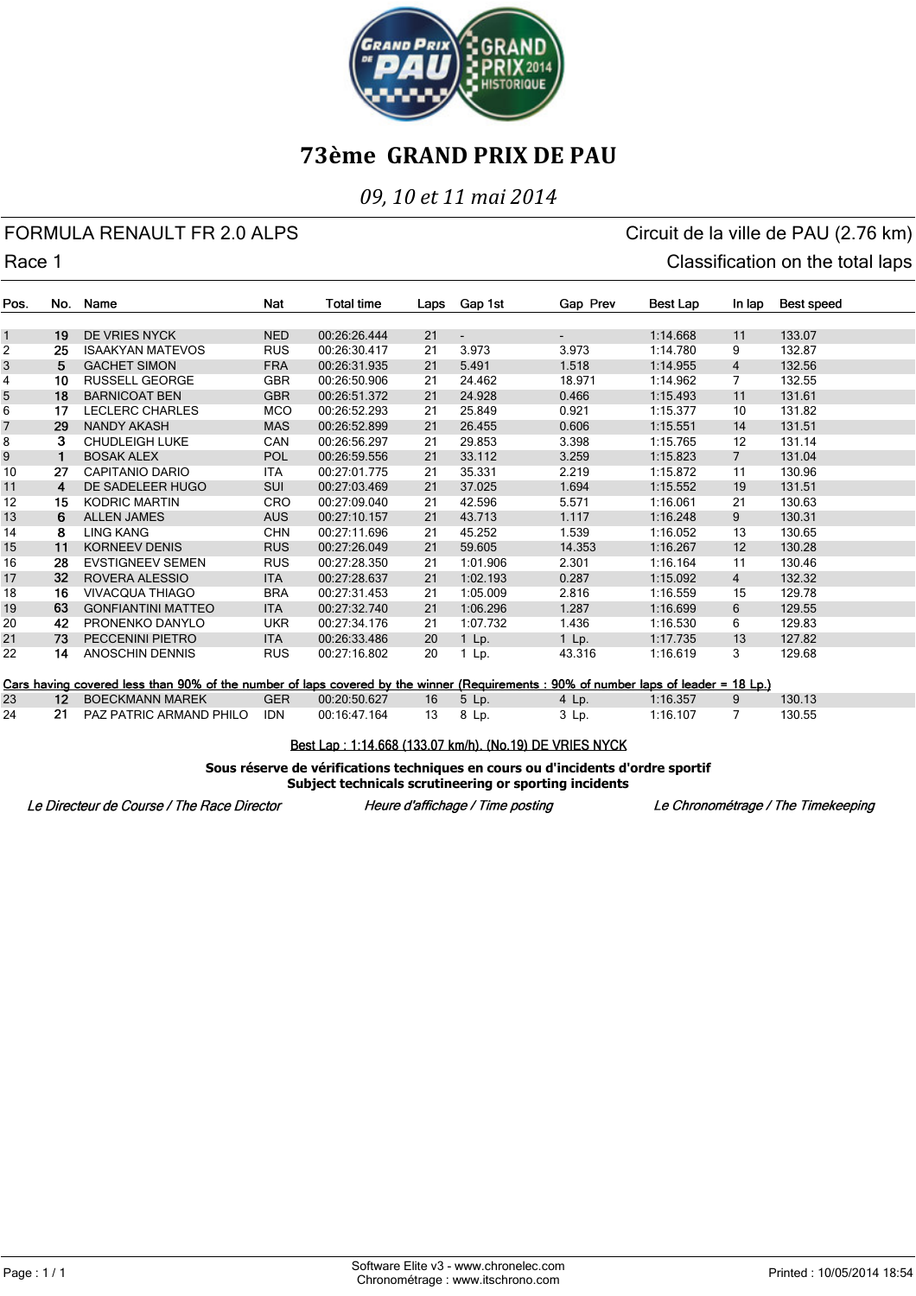

### *09, 10 et 11 mai 2014*

### FORMULA RENAULT FR 2.0 ALPS CIRCUIT AND RESERVE CIRCUIT OF A CIRCUIT CHANGE OF A CIRCUIT OF A CIRCUIT OF A CIRCUIT OF A CIRCUIT OF A CIRCUIT OF A CIRCUIT OF A CIRCUIT OF A CIRCUIT OF A CIRCUIT OF A CIRCUIT OF A CIRCUIT OF Race 1 Classification on the total laps

| Pos.           | No.             | Name                                                                                                                                 | Nat        | <b>Total time</b> |      | Gap 1st  | Gap Prev | Best Lap | In lap         |            |
|----------------|-----------------|--------------------------------------------------------------------------------------------------------------------------------------|------------|-------------------|------|----------|----------|----------|----------------|------------|
|                |                 |                                                                                                                                      |            |                   | Laps |          |          |          |                | Best speed |
| $\mathbf{1}$   | 19              | <b>DE VRIES NYCK</b>                                                                                                                 | <b>NED</b> | 00:26:26.444      | 21   |          |          | 1:14.668 | 11             | 133.07     |
| $\overline{c}$ | 25              | <b>ISAAKYAN MATEVOS</b>                                                                                                              | <b>RUS</b> | 00:26:30.417      | 21   | 3.973    | 3.973    | 1:14.780 | 9              | 132.87     |
| 3              | 5               | <b>GACHET SIMON</b>                                                                                                                  | <b>FRA</b> | 00:26:31.935      | 21   | 5.491    | 1.518    | 1:14.955 | $\overline{4}$ | 132.56     |
| 4              | 10              | <b>RUSSELL GEORGE</b>                                                                                                                | <b>GBR</b> | 00:26:50.906      | 21   | 24.462   | 18.971   | 1:14.962 | 7              | 132.55     |
| 5              | 18              | <b>BARNICOAT BEN</b>                                                                                                                 | <b>GBR</b> | 00:26:51.372      | 21   | 24.928   | 0.466    | 1:15.493 | 11             | 131.61     |
| 6              | 17              | <b>LECLERC CHARLES</b>                                                                                                               | <b>MCO</b> | 00:26:52.293      | 21   | 25.849   | 0.921    | 1:15.377 | 10             | 131.82     |
| 7              | 29              | <b>NANDY AKASH</b>                                                                                                                   | <b>MAS</b> | 00:26:52.899      | 21   | 26.455   | 0.606    | 1:15.551 | 14             | 131.51     |
| 8              | 3               | <b>CHUDLEIGH LUKE</b>                                                                                                                | <b>CAN</b> | 00:26:56.297      | 21   | 29.853   | 3.398    | 1:15.765 | 12             | 131.14     |
| 9              | 1               | <b>BOSAK ALEX</b>                                                                                                                    | <b>POL</b> | 00:26:59.556      | 21   | 33.112   | 3.259    | 1:15.823 | $\overline{7}$ | 131.04     |
| 10             | 27              | CAPITANIO DARIO                                                                                                                      | ITA        | 00:27:01.775      | 21   | 35.331   | 2.219    | 1:15.872 | 11             | 130.96     |
| 11             | 4               | DE SADELEER HUGO                                                                                                                     | <b>SUI</b> | 00:27:03.469      | 21   | 37.025   | 1.694    | 1:15.552 | 19             | 131.51     |
| 12             | 15              | <b>KODRIC MARTIN</b>                                                                                                                 | <b>CRO</b> | 00:27:09.040      | 21   | 42.596   | 5.571    | 1:16.061 | 21             | 130.63     |
| 13             | 6               | <b>ALLEN JAMES</b>                                                                                                                   | <b>AUS</b> | 00:27:10.157      | 21   | 43.713   | 1.117    | 1:16.248 | 9              | 130.31     |
| 14             | 8               | <b>LING KANG</b>                                                                                                                     | <b>CHN</b> | 00:27:11.696      | 21   | 45.252   | 1.539    | 1:16.052 | 13             | 130.65     |
| 15             | 11              | <b>KORNEEV DENIS</b>                                                                                                                 | <b>RUS</b> | 00:27:26.049      | 21   | 59.605   | 14.353   | 1:16.267 | 12             | 130.28     |
| 16             | 28              | <b>EVSTIGNEEV SEMEN</b>                                                                                                              | <b>RUS</b> | 00:27:28.350      | 21   | 1:01.906 | 2.301    | 1:16.164 | 11             | 130.46     |
| 17             | 32              | <b>ROVERA ALESSIO</b>                                                                                                                | <b>ITA</b> | 00:27:28.637      | 21   | 1:02.193 | 0.287    | 1:15.092 | $\overline{4}$ | 132.32     |
| 18             | 16              | <b>VIVACQUA THIAGO</b>                                                                                                               | <b>BRA</b> | 00:27:31.453      | 21   | 1:05.009 | 2.816    | 1:16.559 | 15             | 129.78     |
| 19             | 63              | <b>GONFIANTINI MATTEO</b>                                                                                                            | <b>ITA</b> | 00:27:32.740      | 21   | 1:06.296 | 1.287    | 1:16.699 | 6              | 129.55     |
| 20             | 42              | PRONENKO DANYLO                                                                                                                      | <b>UKR</b> | 00:27:34.176      | 21   | 1:07.732 | 1.436    | 1:16.530 | 6              | 129.83     |
| 21             | 73              | PECCENINI PIETRO                                                                                                                     | <b>ITA</b> | 00:26:33.486      | 20   | $1$ Lp.  | $1$ Lp.  | 1:17.735 | 13             | 127.82     |
| 22             | 14              | ANOSCHIN DENNIS                                                                                                                      | <b>RUS</b> | 00:27:16.802      | 20   | 1 Lp.    | 43.316   | 1:16.619 | 3              | 129.68     |
|                |                 |                                                                                                                                      |            |                   |      |          |          |          |                |            |
|                |                 | Cars having covered less than 90% of the number of laps covered by the winner (Requirements : 90% of number laps of leader = 18 Lp.) |            |                   |      |          |          |          |                |            |
| 23             | 12 <sup>7</sup> | <b>BOECKMANN MAREK</b>                                                                                                               | <b>GER</b> | 00:20:50.627      | 16   | $5$ Lp.  | 4 Lp.    | 1:16.357 | 9              | 130.13     |
| 24             | 21              | PAZ PATRIC ARMAND PHILO                                                                                                              | <b>IDN</b> | 00:16:47.164      | 13   | 8 Lp.    | 3 Lp.    | 1:16.107 | 7              | 130.55     |

Best Lap: 1:14.668 (133.07 km/h), (No.19) DE VRIES NYCK

**Sous réserve de vérifications techniques en cours ou d'incidents d'ordre sportif Subject technicals scrutineering or sporting incidents**

Le Directeur de Course / The Race Director

Heure d'affichage / Time posting

Le Chronométrage / The Timekeeping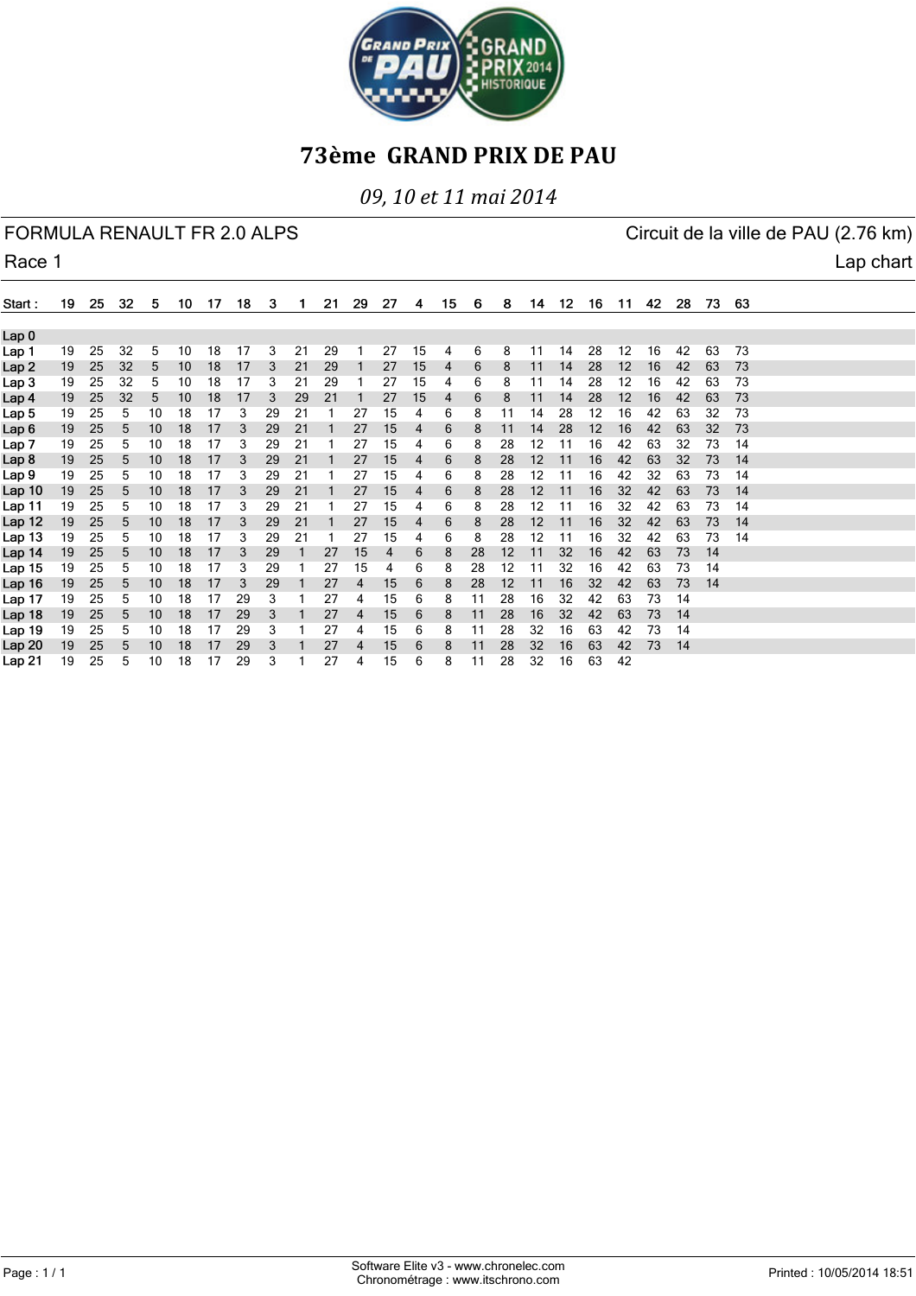

*09, 10 et 11 mai 2014*

|                  | FORMULA RENAULT FR 2.0 ALPS |    |     |    |    |     |    |    |    |    |    |    |                |    |    |    |    |    | Circuit de la ville de PAU (2.76 km) |       |    |     |    |     |  |           |
|------------------|-----------------------------|----|-----|----|----|-----|----|----|----|----|----|----|----------------|----|----|----|----|----|--------------------------------------|-------|----|-----|----|-----|--|-----------|
| Race 1           |                             |    |     |    |    |     |    |    |    |    |    |    |                |    |    |    |    |    |                                      |       |    |     |    |     |  | Lap chart |
| Start:           | 19                          | 25 | -32 | 5  | 10 | -17 | 18 | 3  | 1. | 21 | 29 | 27 | 4              | 15 | 6  | 8  | 14 | 12 | 16                                   | $-11$ | 42 | -28 | 73 | -63 |  |           |
| Lap <sub>0</sub> |                             |    |     |    |    |     |    |    |    |    |    |    |                |    |    |    |    |    |                                      |       |    |     |    |     |  |           |
| Lap 1            | 19                          | 25 | 32  | 5  | 10 | 18  | 17 | 3  | 21 | 29 |    | 27 | 15             | 4  | 6  | 8  | 11 | 14 | 28                                   | 12    | 16 | 42  | 63 | 73  |  |           |
| Lap <sub>2</sub> | 19                          | 25 | 32  | 5  | 10 | 18  | 17 | 3  | 21 | 29 |    | 27 | 15             | 4  | 6  | 8  | 11 | 14 | 28                                   | 12    | 16 | 42  | 63 | 73  |  |           |
| Lap <sub>3</sub> | 19                          | 25 | 32  | 5  | 10 | 18  | 17 | 3  | 21 | 29 |    | 27 | 15             | 4  | 6  | 8  | 11 | 14 | 28                                   | 12    | 16 | 42  | 63 | 73  |  |           |
| Lap 4            | 19                          | 25 | 32  | 5  | 10 | 18  | 17 | 3  | 29 | 21 |    | 27 | 15             | 4  | 6  | 8  | 11 | 14 | 28                                   | 12    | 16 | 42  | 63 | 73  |  |           |
| Lap 5            | 19                          | 25 | 5   | 10 | 18 | 17  | 3  | 29 | 21 |    | 27 | 15 | 4              | 6  | 8  | 11 | 14 | 28 | 12                                   | 16    | 42 | 63  | 32 | 73  |  |           |
| Lap <sub>6</sub> | 19                          | 25 | 5   | 10 | 18 | 17  | 3  | 29 | 21 |    | 27 | 15 | 4              | 6  | 8  | 11 | 14 | 28 | 12                                   | 16    | 42 | 63  | 32 | 73  |  |           |
| Lap 7            | 19                          | 25 | 5   | 10 | 18 | 17  | 3  | 29 | 21 |    | 27 | 15 | 4              | 6  | 8  | 28 | 12 | 11 | 16                                   | 42    | 63 | 32  | 73 | 14  |  |           |
| Lap 8            | 19                          | 25 | 5   | 10 | 18 | 17  | 3  | 29 | 21 |    | 27 | 15 | $\overline{4}$ | 6  | 8  | 28 | 12 | 11 | 16                                   | 42    | 63 | 32  | 73 | 14  |  |           |
| Lap 9            | 19                          | 25 | 5   | 10 | 18 | 17  | 3  | 29 | 21 |    | 27 | 15 | 4              | 6  | 8  | 28 | 12 | 11 | 16                                   | 42    | 32 | 63  | 73 | 14  |  |           |
| Lap 10           | 19                          | 25 | 5   | 10 | 18 | 17  | 3  | 29 | 21 |    | 27 | 15 | $\overline{4}$ | 6  | 8  | 28 | 12 | 11 | 16                                   | 32    | 42 | 63  | 73 | 14  |  |           |
| Lap 11           | 19                          | 25 | 5   | 10 | 18 | 17  | 3  | 29 | 21 |    | 27 | 15 | 4              | 6  | 8  | 28 | 12 | 11 | 16                                   | 32    | 42 | 63  | 73 | 14  |  |           |
| Lap 12           | 19                          | 25 | 5   | 10 | 18 | 17  | 3  | 29 | 21 |    | 27 | 15 | 4              | 6  | 8  | 28 | 12 | 11 | 16                                   | 32    | 42 | 63  | 73 | 14  |  |           |
| Lap 13           | 19                          | 25 | 5   | 10 | 18 | 17  | 3  | 29 | 21 |    | 27 | 15 | 4              | 6  | 8  | 28 | 12 | 11 | 16                                   | 32    | 42 | 63  | 73 | 14  |  |           |
| Lap 14           | 19                          | 25 | 5   | 10 | 18 | 17  | 3  | 29 |    | 27 | 15 | 4  | 6              | 8  | 28 | 12 | 11 | 32 | 16                                   | 42    | 63 | 73  | 14 |     |  |           |
| Lap 15           | 19                          | 25 | 5   | 10 | 18 | 17  | 3  | 29 |    | 27 | 15 | 4  | 6              | 8  | 28 | 12 | 11 | 32 | 16                                   | 42    | 63 | 73  | 14 |     |  |           |
| Lap 16           | 19                          | 25 | 5   | 10 | 18 | 17  | 3  | 29 |    | 27 | 4  | 15 | 6              | 8  | 28 | 12 | 11 | 16 | 32                                   | 42    | 63 | 73  | 14 |     |  |           |
| Lap 17           | 19                          | 25 | 5   | 10 | 18 | 17  | 29 | 3  |    | 27 | 4  | 15 | 6              | 8  | 11 | 28 | 16 | 32 | 42                                   | 63    | 73 | 14  |    |     |  |           |
| Lap 18           | 19                          | 25 | 5   | 10 | 18 | 17  | 29 | 3  |    | 27 | 4  | 15 | 6              | 8  | 11 | 28 | 16 | 32 | 42                                   | 63    | 73 | 14  |    |     |  |           |
| Lap 19           | 19                          | 25 | 5   | 10 | 18 | 17  | 29 | 3  |    | 27 | 4  | 15 | 6              | 8  | 11 | 28 | 32 | 16 | 63                                   | 42    | 73 | 14  |    |     |  |           |
| Lap 20           | 19                          | 25 | 5   | 10 | 18 | 17  | 29 | 3  |    | 27 | 4  | 15 | 6              | 8  | 11 | 28 | 32 | 16 | 63                                   | 42    | 73 | 14  |    |     |  |           |
| Lap 21           | 19                          | 25 | 5   | 10 | 18 | 17  | 29 | 3  |    | 27 | 4  | 15 | 6              | 8  | 11 | 28 | 32 | 16 | 63                                   | 42    |    |     |    |     |  |           |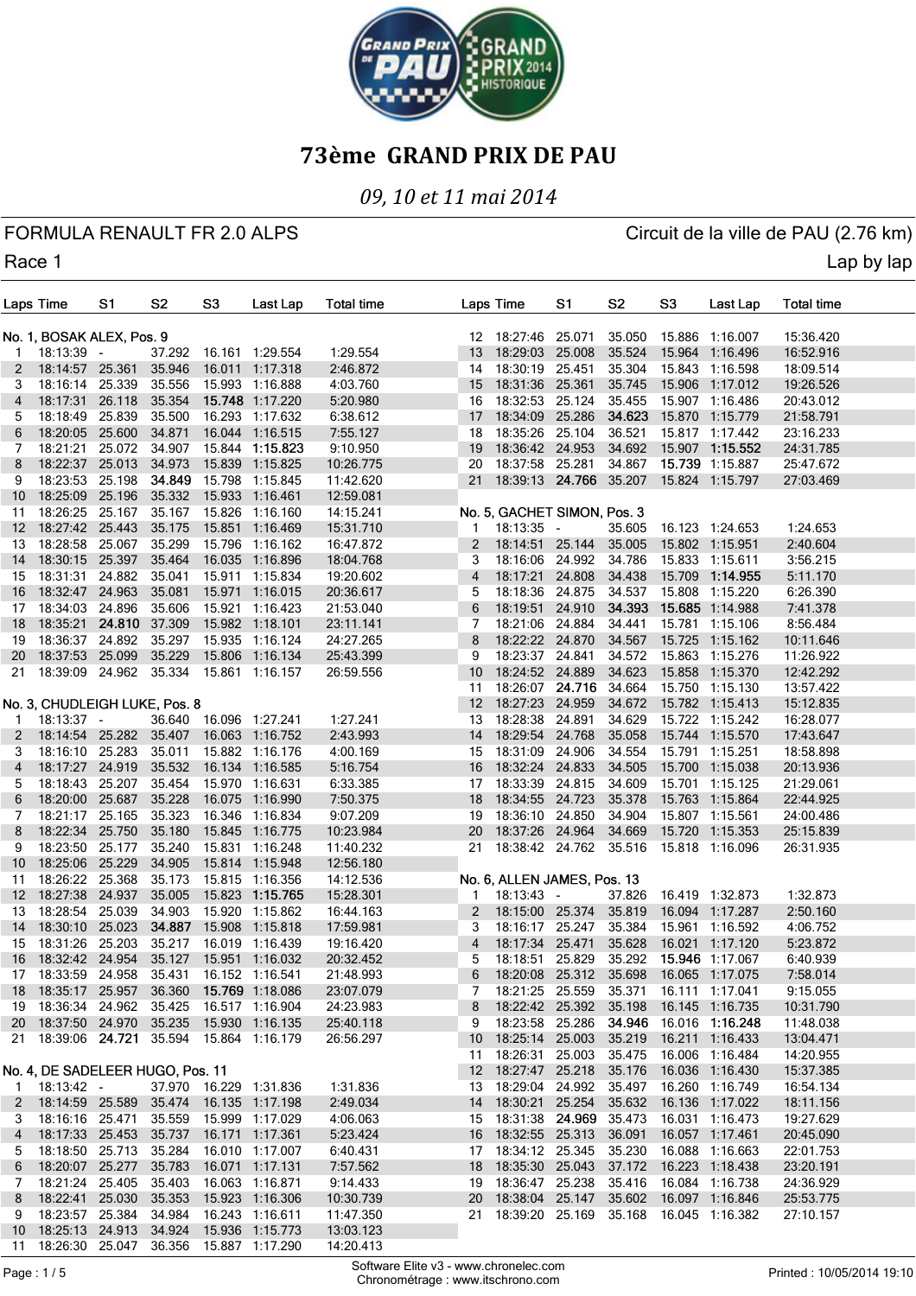

### *09, 10 et 11 mai 2014*

FORMULA RENAULT FR 2.0 ALPS CIRCUIT AND RESERVE CIRCUIT OF A CIRCUIT CHANGE OF A CIRCUIT OF A LOT OF A LOT OF A

Race 1 Lap by lap and the contract of the contract of the contract of the contract of the contract of the contract of the contract of the contract of the contract of the contract of the contract of the contract of the cont

| Laps Time |                                  | S1            | S2               | S3               | Last Lap                                                                                    | <b>Total time</b>      |                 | Laps Time                                        | S1     | S2               | S3     | Last Lap                               | <b>Total time</b>    |  |
|-----------|----------------------------------|---------------|------------------|------------------|---------------------------------------------------------------------------------------------|------------------------|-----------------|--------------------------------------------------|--------|------------------|--------|----------------------------------------|----------------------|--|
|           | No. 1, BOSAK ALEX, Pos. 9        |               |                  |                  |                                                                                             |                        |                 | 12 18:27:46 25.071                               |        | 35.050           |        | 15.886 1:16.007                        | 15:36.420            |  |
| -1        | $18:13:39 -$                     |               | 37.292           |                  | 16.161 1:29.554                                                                             | 1:29.554               | 13              | 18:29:03                                         | 25.008 | 35.524           |        | 15.964 1:16.496                        | 16:52.916            |  |
| 2         | 18:14:57 25.361                  |               | 35.946           |                  | 16.011 1:17.318                                                                             | 2:46.872               | 14              | 18:30:19                                         | 25.451 | 35.304           |        | 15.843 1:16.598                        | 18:09.514            |  |
| 3         | 18:16:14 25.339                  |               | 35.556           |                  | 15.993 1:16.888                                                                             | 4:03.760               | 15              | 18:31:36 25.361                                  |        | 35.745           |        | 15.906 1:17.012                        | 19:26.526            |  |
| 4         | 18:17:31                         | 26.118        | 35.354           |                  | 15.748 1:17.220                                                                             | 5:20.980               | 16              | 18:32:53 25.124                                  |        | 35.455           |        | 15.907 1:16.486                        | 20:43.012            |  |
| 5         | 18:18:49                         | 25.839        | 35.500           |                  | 16.293 1:17.632                                                                             | 6:38.612               | 17              | 18:34:09                                         | 25.286 | 34.623           |        | 15.870 1:15.779                        | 21:58.791            |  |
| 6         | 18:20:05 25.600                  |               | 34.871           |                  | 16.044 1:16.515                                                                             | 7:55.127               | 18              | 18:35:26                                         | 25.104 | 36.521           |        | 15.817 1:17.442                        | 23:16.233            |  |
| 7         | 18:21:21                         | 25.072        | 34.907           |                  | 15.844 1:15.823                                                                             | 9:10.950               | 19              | 18:36:42 24.953                                  |        | 34.692           |        | 15.907 1:15.552                        | 24:31.785            |  |
| 8         | 18:22:37                         | 25.013        | 34.973           | 15.839           | 1:15.825                                                                                    | 10:26.775              | 20              | 18:37:58 25.281                                  |        | 34.867           |        | 15.739 1:15.887                        | 25:47.672            |  |
| 9         | 18:23:53                         | 25.198        | 34.849           | 15.798           | 1:15.845                                                                                    | 11:42.620              | 21              | 18:39:13 24.766 35.207                           |        |                  |        | 15.824 1:15.797                        | 27:03.469            |  |
| 10        | 18:25:09 25.196                  |               | 35.332           |                  | 15.933 1:16.461                                                                             | 12:59.081              |                 |                                                  |        |                  |        |                                        |                      |  |
| 11        | 18:26:25 25.167                  |               | 35.167           |                  | 15.826 1:16.160                                                                             | 14:15.241              |                 | No. 5, GACHET SIMON, Pos. 3                      |        |                  |        |                                        |                      |  |
| 12        | 18:27:42 25.443<br>18:28:58      | 25.067        | 35.175<br>35.299 | 15.851<br>15.796 | 1:16.469                                                                                    | 15:31.710              | 1               | $18:13:35 -$                                     |        | 35.605           |        | 16.123 1:24.653                        | 1:24.653             |  |
| 13        | 18:30:15 25.397                  |               | 35.464           | 16.035           | 1:16.162<br>1:16.896                                                                        | 16:47.872<br>18:04.768 | 2<br>3          | 18:14:51 25.144<br>18:16:06 24.992               |        | 35.005<br>34.786 |        | 15.802 1:15.951<br>15.833 1:15.611     | 2:40.604<br>3:56.215 |  |
| 14<br>15  | 18:31:31                         | 24.882        | 35.041           |                  | 15.911 1:15.834                                                                             | 19:20.602              | 4               | 18:17:21                                         | 24.808 | 34.438           |        | 15.709 1:14.955                        | 5:11.170             |  |
| 16        | 18:32:47                         | 24.963        | 35.081           | 15.971           | 1:16.015                                                                                    | 20:36.617              | 5               | 18:18:36 24.875                                  |        | 34.537           |        | 15.808 1:15.220                        | 6:26.390             |  |
| 17        | 18:34:03 24.896                  |               | 35.606           | 15.921           | 1:16.423                                                                                    | 21:53.040              | 6               | 18:19:51 24.910                                  |        | 34.393           |        | 15.685 1:14.988                        | 7:41.378             |  |
| 18        | 18:35:21                         | 24.810 37.309 |                  |                  | 15.982 1:18.101                                                                             | 23:11.141              | 7               | 18:21:06 24.884                                  |        | 34.441           |        | 15.781 1:15.106                        | 8:56.484             |  |
| 19        | 18:36:37                         | 24.892        | 35.297           |                  | 15.935 1:16.124                                                                             | 24:27.265              | 8               | 18:22:22 24.870                                  |        | 34.567           |        | 15.725 1:15.162                        | 10:11.646            |  |
| 20        | 18:37:53                         | 25.099        | 35.229           | 15.806           | 1:16.134                                                                                    | 25:43.399              | 9               | 18:23:37 24.841                                  |        | 34.572           |        | 15.863 1:15.276                        | 11:26.922            |  |
| 21        | 18:39:09 24.962 35.334           |               |                  |                  | 15.861 1:16.157                                                                             | 26:59.556              | 10              | 18:24:52 24.889                                  |        | 34.623           |        | 15.858 1:15.370                        | 12:42.292            |  |
|           |                                  |               |                  |                  |                                                                                             |                        | 11              | 18:26:07 24.716                                  |        | 34.664           |        | 15.750 1:15.130                        | 13:57.422            |  |
|           | No. 3, CHUDLEIGH LUKE, Pos. 8    |               |                  |                  |                                                                                             |                        | 12 <sup>2</sup> | 18:27:23                                         | 24.959 | 34.672           |        | 15.782 1:15.413                        | 15:12.835            |  |
| -1        | $18:13:37 -$                     |               | 36.640           |                  | 16.096 1:27.241                                                                             | 1:27.241               | 13              | 18:28:38                                         | 24.891 | 34.629           |        | 15.722 1:15.242                        | 16:28.077            |  |
| 2         | 18:14:54 25.282                  |               | 35.407           |                  | 16.063 1:16.752                                                                             | 2:43.993               | 14              | 18:29:54 24.768                                  |        | 35.058           |        | 15.744 1:15.570                        | 17:43.647            |  |
| 3         | 18:16:10 25.283                  |               | 35.011           |                  | 15.882 1:16.176                                                                             | 4:00.169               | 15              | 18:31:09                                         | 24.906 | 34.554           |        | 15.791 1:15.251                        | 18:58.898            |  |
| 4         | 18:17:27 24.919                  |               | 35.532           | 16.134           | 1:16.585                                                                                    | 5:16.754               | 16              | 18:32:24                                         | 24.833 | 34.505           |        | 15.700 1:15.038                        | 20:13.936            |  |
| 5         | 18:18:43 25.207                  |               | 35.454           |                  | 15.970 1:16.631                                                                             | 6:33.385               | 17              | 18:33:39                                         | 24.815 | 34.609           |        | 15.701 1:15.125                        | 21:29.061            |  |
| 6         | 18:20:00 25.687                  |               | 35.228           | 16.075           | 1:16.990                                                                                    | 7:50.375               | 18              | 18:34:55                                         | 24.723 | 35.378           |        | 15.763 1:15.864                        | 22:44.925            |  |
| 7         | 18:21:17 25.165                  |               | 35.323           |                  | 16.346 1:16.834                                                                             | 9:07.209               | 19              | 18:36:10 24.850                                  |        | 34.904           |        | 15.807 1:15.561                        | 24:00.486            |  |
| 8         | 18:22:34                         | 25.750        | 35.180           | 15.845           | 1:16.775                                                                                    | 10:23.984              | 20              | 18:37:26 24.964                                  |        | 34.669           | 15.720 | 1:15.353                               | 25:15.839            |  |
| 9         | 18:23:50 25.177                  |               | 35.240           |                  | 15.831 1:16.248                                                                             | 11:40.232              | 21              | 18:38:42 24.762 35.516                           |        |                  |        | 15.818 1:16.096                        | 26:31.935            |  |
| 10        | 18:25:06 25.229                  |               | 34.905           |                  | 15.814 1:15.948                                                                             | 12:56.180              |                 |                                                  |        |                  |        |                                        |                      |  |
| 11        | 18:26:22 25.368                  |               | 35.173           |                  | 15.815 1:16.356                                                                             | 14:12.536              |                 | No. 6, ALLEN JAMES, Pos. 13                      |        |                  |        |                                        |                      |  |
| 12        | 18:27:38                         | 24.937        | 35.005           | 15.823           | 1:15.765                                                                                    | 15:28.301              | 1               | $18:13:43 -$                                     |        | 37.826           |        | 16.419 1:32.873                        | 1:32.873             |  |
| 13        | 18:28:54 25.039                  |               | 34.903           |                  | 15.920 1:15.862                                                                             | 16:44.163              | 2               | 18:15:00 25.374                                  |        | 35.819           |        | 16.094 1:17.287                        | 2:50.160             |  |
| 14        | 18:30:10 25.023                  |               | 34.887           | 15.908           | 1:15.818                                                                                    | 17:59.981              | 3               | 18:16:17 25.247                                  |        | 35.384           | 15.961 | 1:16.592                               | 4:06.752             |  |
| 15        | 18:31:26                         | 25.203        | 35.217           |                  | 16.019 1:16.439                                                                             | 19:16.420              | 4               | 18:17:34                                         | 25.471 | 35.628           |        | 16.021 1:17.120                        | 5:23.872             |  |
| 16        | 18:32:42 24.954 35.127           |               |                  |                  | 15.951 1:16.032                                                                             | 20:32.452              | 5               | 18:18:51 25.829                                  |        |                  |        | 35.292 15.946 1:17.067                 | 6:40.939             |  |
| 1/        |                                  |               |                  |                  | 18:33:59 24.958 35.431 16.152 1:16.541                                                      | 21:48.993<br>23:07.079 |                 | 18:20:08 25.312 35.698                           |        |                  |        | 16.065 1:17.075                        | 7:58.014<br>9:15.055 |  |
|           |                                  |               |                  |                  | 18 18:35:17 25.957 36.360 15.769 1:18.086<br>19  18:36:34  24.962  35.425  16.517  1:16.904 | 24:23.983              | 7<br>8          | 18:21:25 25.559 35.371<br>18:22:42 25.392 35.198 |        |                  |        | 16.111  1:17.041<br>16.145 1:16.735    | 10:31.790            |  |
|           |                                  |               |                  |                  | 20 18:37:50 24.970 35.235 15.930 1:16.135                                                   | 25:40.118              | 9               |                                                  |        |                  |        | 18:23:58 25.286 34.946 16.016 1:16.248 | 11:48.038            |  |
|           |                                  |               |                  |                  | 21 18:39:06 24.721 35.594 15.864 1:16.179                                                   | 26:56.297              |                 | 10 18:25:14 25.003                               |        | 35.219           |        | 16.211 1:16.433                        | 13:04.471            |  |
|           |                                  |               |                  |                  |                                                                                             |                        |                 | 11 18:26:31 25.003                               |        | 35.475           |        | 16.006 1:16.484                        | 14:20.955            |  |
|           | No. 4, DE SADELEER HUGO, Pos. 11 |               |                  |                  |                                                                                             |                        |                 | 12 18:27:47 25.218                               |        | 35.176           |        | 16.036 1:16.430                        | 15:37.385            |  |
| 1         | $18:13:42 -$                     |               |                  |                  | 37.970 16.229 1:31.836                                                                      | 1:31.836               |                 | 13 18:29:04 24.992 35.497 16.260 1:16.749        |        |                  |        |                                        | 16:54.134            |  |
|           |                                  |               |                  |                  | 2 18:14:59 25.589 35.474 16.135 1:17.198                                                    | 2:49.034               |                 | 14 18:30:21 25.254 35.632 16.136 1:17.022        |        |                  |        |                                        | 18:11.156            |  |
| 3         |                                  |               |                  |                  | 18:16:16 25.471 35.559 15.999 1:17.029                                                      | 4:06.063               |                 | 15 18:31:38 24.969 35.473                        |        |                  |        | 16.031 1:16.473                        | 19:27.629            |  |
| 4         |                                  |               |                  |                  | 16.171 1:17.361                                                                             | 5:23.424               |                 | 16 18:32:55 25.313                               |        | 36.091           |        | 16.057 1:17.461                        | 20:45.090            |  |
| 5         | 18:18:50 25.713 35.284           |               |                  |                  | 16.010 1:17.007                                                                             | 6:40.431               |                 | 17  18:34:12  25.345                             |        |                  |        | 35.230 16.088 1:16.663                 | 22:01.753            |  |
| 6         |                                  |               |                  |                  | 18:20:07 25.277 35.783 16.071 1:17.131                                                      | 7:57.562               |                 | 18 18:35:30 25.043 37.172 16.223 1:18.438        |        |                  |        |                                        | 23:20.191            |  |
| 7         | 18:21:24 25.405 35.403           |               |                  |                  | 16.063 1:16.871                                                                             | 9:14.433               |                 | 19 18:36:47 25.238                               |        | 35.416           |        | 16.084 1:16.738                        | 24:36.929            |  |
| 8         |                                  |               |                  |                  | 18:22:41 25.030 35.353 15.923 1:16.306                                                      | 10:30.739              |                 | 20 18:38:04 25.147 35.602 16.097 1:16.846        |        |                  |        |                                        | 25:53.775            |  |
| 9         |                                  |               |                  |                  | 18:23:57 25.384 34.984 16.243 1:16.611                                                      | 11:47.350              |                 | 21 18:39:20 25.169 35.168 16.045 1:16.382        |        |                  |        |                                        | 27:10.157            |  |
|           |                                  |               |                  |                  | 10 18:25:13 24.913 34.924 15.936 1:15.773                                                   | 13:03.123              |                 |                                                  |        |                  |        |                                        |                      |  |

11 18:26:30 25.047 36.356 15.887 1:17.290 14:20.413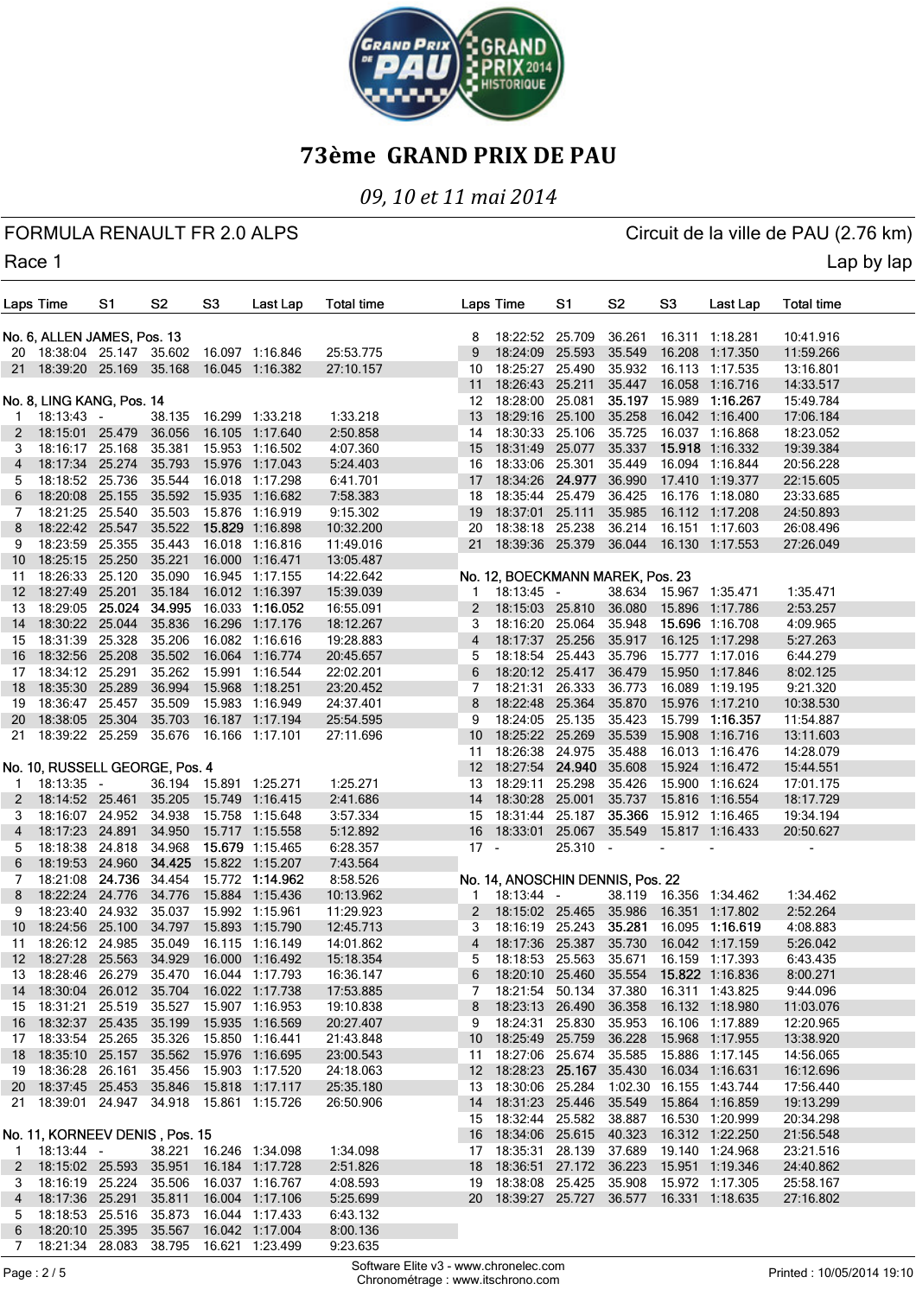

### *09, 10 et 11 mai 2014*

FORMULA RENAULT FR 2.0 ALPS CIRCUIT AND RESERVE CIRCUIT OF A CIRCUIT CHANGE OF A CIRCUIT OF A LOT OF A LOT OF A

Race 1 Lap by lap and the contract of the contract of the contract of the contract of the contract of the contract of the contract of the contract of the contract of the contract of the contract of the contract of the cont

|     | Laps Time                                      | S1     | S2     | S3     | Last Lap                                  | <b>Total time</b> | Laps Time                                 | S <sub>1</sub> | S2               | S3     | Last Lap                                  | <b>Total time</b>      |  |
|-----|------------------------------------------------|--------|--------|--------|-------------------------------------------|-------------------|-------------------------------------------|----------------|------------------|--------|-------------------------------------------|------------------------|--|
|     |                                                |        |        |        |                                           |                   | 18:22:52 25.709                           |                |                  |        |                                           |                        |  |
|     | No. 6, ALLEN JAMES, Pos. 13                    |        |        |        | 20 18:38:04 25.147 35.602 16.097 1:16.846 | 25:53.775         | 8<br>18:24:09<br>9                        | 25.593         | 36.261<br>35.549 |        | 16.311 1:18.281<br>16.208 1:17.350        | 10:41.916<br>11:59.266 |  |
|     | 21 18:39:20 25.169 35.168                      |        |        |        | 16.045 1:16.382                           | 27:10.157         | 18:25:27<br>10                            | 25.490         | 35.932           |        | 16.113 1:17.535                           | 13:16.801              |  |
|     |                                                |        |        |        |                                           |                   | 18:26:43 25.211<br>11                     |                | 35.447           |        | 16.058 1:16.716                           | 14:33.517              |  |
|     | No. 8, LING KANG, Pos. 14                      |        |        |        |                                           |                   | 18:28:00 25.081<br>12                     |                | 35.197           |        | 15.989 1:16.267                           | 15:49.784              |  |
| 1   | $18:13:43 -$                                   |        | 38.135 |        | 16.299 1:33.218                           | 1:33.218          | 18:29:16 25.100<br>13                     |                | 35.258           |        | 16.042 1:16.400                           | 17:06.184              |  |
| 2   | 18:15:01 25.479                                |        | 36.056 |        | 16.105 1:17.640                           | 2:50.858          | 18:30:33 25.106<br>14                     |                | 35.725           |        | 16.037 1:16.868                           | 18:23.052              |  |
| 3   | 18:16:17 25.168                                |        | 35.381 |        | 15.953 1:16.502                           | 4:07.360          | 18:31:49 25.077<br>15                     |                | 35.337           |        | 15.918 1:16.332                           | 19:39.384              |  |
| 4   | 18:17:34 25.274                                |        | 35.793 |        | 15.976 1:17.043                           | 5:24.403          | 18:33:06 25.301<br>16                     |                | 35.449           |        | 16.094 1:16.844                           | 20:56.228              |  |
| 5   | 18:18:52                                       | 25.736 | 35.544 |        | 16.018 1:17.298                           | 6:41.701          | 18:34:26<br>17                            | 24.977         | 36.990           |        | 17.410 1:19.377                           | 22:15.605              |  |
| 6   | 18:20:08 25.155                                |        | 35.592 |        | 15.935 1:16.682                           | 7:58.383          | 18:35:44 25.479<br>18                     |                | 36.425           |        | 16.176 1:18.080                           | 23:33.685              |  |
| 7   | 18:21:25 25.540                                |        | 35.503 |        | 15.876 1:16.919                           | 9:15.302          | 18:37:01 25.111<br>19                     |                | 35.985           |        | 16.112 1:17.208                           | 24:50.893              |  |
| 8   | 18:22:42 25.547                                |        | 35.522 |        | 15.829 1:16.898                           | 10:32.200         | 18:38:18<br>20                            | 25.238         | 36.214           |        | 16.151 1:17.603                           | 26:08.496              |  |
| 9   | 18:23:59 25.355                                |        | 35.443 |        | 16.018 1:16.816                           | 11:49.016         | 18:39:36 25.379<br>21                     |                | 36.044           |        | 16.130 1:17.553                           | 27:26.049              |  |
| 10  | 18:25:15 25.250                                |        | 35.221 |        | 16.000 1:16.471                           | 13:05.487         |                                           |                |                  |        |                                           |                        |  |
| 11  | 18:26:33 25.120                                |        | 35.090 |        | 16.945 1:17.155                           | 14:22.642         | No. 12, BOECKMANN MAREK, Pos. 23          |                |                  |        |                                           |                        |  |
| 12  | 18:27:49                                       | 25.201 | 35.184 |        | 16.012 1:16.397                           | 15:39.039         | $18:13:45 -$<br>1                         |                |                  |        | 38.634 15.967 1:35.471                    | 1:35.471               |  |
| 13  | 18:29:05 25.024                                |        | 34.995 |        | 16.033 1:16.052                           | 16:55.091         | 18:15:03 25.810<br>2                      |                | 36.080           | 15.896 | 1:17.786                                  | 2:53.257               |  |
|     | 18:30:22 25.044                                |        | 35.836 | 16.296 | 1:17.176                                  | 18:12.267         | 18:16:20 25.064                           |                | 35.948           |        | 15.696 1:16.708                           | 4:09.965               |  |
| 14  | 18:31:39                                       | 25.328 | 35.206 |        | 16.082 1:16.616                           | 19:28.883         | 3                                         |                | 35.917           |        | 16.125 1:17.298                           |                        |  |
| 15  | 18:32:56 25.208                                |        | 35.502 | 16.064 | 1:16.774                                  |                   | 18:17:37 25.256<br>4<br>18:18:54          | 25.443         | 35.796           |        | 15.777 1:17.016                           | 5:27.263               |  |
| 16  |                                                |        |        |        |                                           | 20:45.657         | 5<br>18:20:12 25.417                      |                |                  |        | 15.950 1:17.846                           | 6:44.279               |  |
| 17  | 18:34:12 25.291                                |        | 35.262 |        | 15.991 1:16.544                           | 22:02.201         | 6                                         |                | 36.479           |        |                                           | 8:02.125               |  |
| 18  | 18:35:30 25.289                                |        | 36.994 |        | 15.968 1:18.251                           | 23:20.452         | 18:21:31<br>7<br>18:22:48 25.364          | 26.333         | 36.773<br>35.870 |        | 16.089 1:19.195<br>15.976 1:17.210        | 9:21.320               |  |
| 19  | 18:36:47                                       | 25.457 | 35.509 |        | 15.983 1:16.949                           | 24:37.401         | 8                                         |                |                  |        |                                           | 10:38.530              |  |
| 20  | 18:38:05 25.304                                |        | 35.703 |        | 16.187 1:17.194                           | 25:54.595         | 18:24:05 25.135<br>9                      |                | 35.423           | 15.799 | 1:16.357                                  | 11:54.887              |  |
| 21  | 18:39:22 25.259 35.676                         |        |        |        | 16.166 1:17.101                           | 27:11.696         | 18:25:22 25.269<br>10                     |                | 35.539           |        | 15.908 1:16.716                           | 13:11.603              |  |
|     |                                                |        |        |        |                                           |                   | 18:26:38 24.975<br>11                     |                | 35.488           |        | 16.013 1:16.476                           | 14:28.079              |  |
|     | No. 10, RUSSELL GEORGE, Pos. 4                 |        |        |        |                                           |                   | 12 18:27:54 24.940                        |                | 35.608           |        | 15.924 1:16.472                           | 15:44.551              |  |
| -1  | $18:13:35 -$                                   |        |        |        | 36.194 15.891 1:25.271                    | 1:25.271          | 18:29:11<br>13                            | 25.298         | 35.426           |        | 15.900 1:16.624                           | 17:01.175              |  |
| 2   | 18:14:52 25.461                                |        | 35.205 |        | 15.749 1:16.415                           | 2:41.686          | 18:30:28<br>14                            | 25.001         | 35.737           |        | 15.816 1:16.554                           | 18:17.729              |  |
| 3   | 18:16:07 24.952 34.938<br>18:17:23 24.891      |        |        |        | 15.758 1:15.648                           | 3:57.334          | 18:31:44 25.187<br>15                     |                | 35.366           |        | 15.912 1:16.465                           | 19:34.194              |  |
| 4   |                                                |        | 34.950 |        | 15.717 1:15.558                           | 5:12.892          | 18:33:01<br>16                            | 25.067         | 35.549           |        | 15.817 1:16.433                           | 20:50.627              |  |
| 5   | 18:18:38 24.818                                |        | 34.968 |        | 15.679 1:15.465                           | 6:28.357          | $17 -$                                    | 25.310 -       |                  |        |                                           |                        |  |
| 6   | 18:19:53 24.960                                |        | 34.425 |        | 15.822 1:15.207<br>15.772 1:14.962        | 7:43.564          |                                           |                |                  |        |                                           |                        |  |
| 7   | 18:21:08 24.736 34.454                         |        | 34.776 |        |                                           | 8:58.526          | No. 14, ANOSCHIN DENNIS, Pos. 22          |                |                  |        |                                           |                        |  |
| 8   | 18:22:24 24.776                                |        | 35.037 |        | 15.884 1:15.436                           | 10:13.962         | $18:13:44 -$<br>1                         |                | 35.986           |        | 38.119 16.356 1:34.462<br>16.351 1:17.802 | 1:34.462               |  |
| 9   | 18:23:40 24.932                                |        |        |        | 15.992 1:15.961                           | 11:29.923         | 18:15:02 25.465<br>2                      |                |                  |        |                                           | 2:52.264               |  |
| 10  | 18:24:56 25.100                                |        | 34.797 |        | 15.893 1:15.790                           | 12:45.713         | 18:16:19 25.243<br>3                      |                | 35.281           |        | 16.095 1:16.619                           | 4:08.883               |  |
| 11  | 18:26:12 24.985                                |        | 35.049 |        | 16.115 1:16.149                           | 14:01.862         | 18:17:36<br>4                             | 25.387         | 35.730           |        | 16.042 1:17.159                           | 5:26.042               |  |
|     | 12 18:27:28 25.563 34.929                      |        |        |        | 16.000 1:16.492                           | 15:18.354         | 18:18:53 25.563<br>5                      |                | 35.671           |        | 16.159 1:17.393                           | 6:43.435               |  |
| 13  |                                                |        |        |        | 18:28:46 26.279 35.470 16.044 1:17.793    | 16:36.147         | b                                         |                |                  |        | 18:20:10 25.460 35.554 15.822 1:16.836    | 8:00.271               |  |
|     | 14 18:30:04 26.012 35.704 16.022 1:17.738      |        |        |        |                                           | 17:53.885         | 7                                         |                |                  |        | 18:21:54 50.134 37.380 16.311 1:43.825    | 9:44.096               |  |
|     | 15 18:31:21 25.519 35.527 15.907 1:16.953      |        |        |        |                                           | 19:10.838         | 18:23:13 26.490<br>8                      |                | 36.358           |        | 16.132 1:18.980                           | 11:03.076              |  |
|     |                                                |        |        |        | 16 18:32:37 25.435 35.199 15.935 1:16.569 | 20:27.407         | 18:24:31 25.830<br>9                      |                | 35.953           |        | 16.106 1:17.889                           | 12:20.965              |  |
|     | 17  18:33:54  25.265  35.326  15.850  1:16.441 |        |        |        |                                           | 21:43.848         | 10 18:25:49 25.759                        |                | 36.228           |        | 15.968 1:17.955                           | 13:38.920              |  |
|     | 18 18:35:10 25.157 35.562 15.976 1:16.695      |        |        |        |                                           | 23:00.543         | 11 18:27:06 25.674 35.585                 |                |                  |        | 15.886 1:17.145                           | 14:56.065              |  |
|     | 19  18:36:28  26.161  35.456  15.903  1:17.520 |        |        |        |                                           | 24:18.063         | 12 18:28:23 25.167 35.430                 |                |                  |        | 16.034 1:16.631                           | 16:12.696              |  |
|     | 20 18:37:45 25.453 35.846 15.818 1:17.117      |        |        |        |                                           | 25:35.180         | 13 18:30:06 25.284                        |                |                  |        | 1:02.30 16.155 1:43.744                   | 17:56.440              |  |
| 21. |                                                |        |        |        | 18:39:01 24.947 34.918 15.861 1:15.726    | 26:50.906         | 14 18:31:23 25.446 35.549 15.864 1:16.859 |                |                  |        |                                           | 19:13.299              |  |
|     |                                                |        |        |        |                                           |                   | 15 18:32:44 25.582 38.887                 |                |                  |        | 16.530 1:20.999                           | 20:34.298              |  |
|     | No. 11, KORNEEV DENIS, Pos. 15                 |        |        |        |                                           |                   | 16 18:34:06 25.615                        |                | 40.323           |        | 16.312 1:22.250                           | 21:56.548              |  |
| 1   | $18:13:44$ -                                   |        |        |        | 38.221 16.246 1:34.098                    | 1:34.098          | 17 18:35:31 28.139 37.689 19.140 1:24.968 |                |                  |        |                                           | 23:21.516              |  |
| 2   | 18:15:02  25.593  35.951  16.184  1:17.728     |        |        |        |                                           | 2:51.826          | 18 18:36:51 27.172 36.223                 |                |                  |        | 15.951 1:19.346                           | 24:40.862              |  |
| 3   |                                                |        |        |        | 18:16:19 25.224 35.506 16.037 1:16.767    | 4:08.593          | 19  18:38:08  25.425  35.908              |                |                  |        | 15.972 1:17.305                           | 25:58.167              |  |
| 4   |                                                |        |        |        | 18:17:36 25.291 35.811 16.004 1:17.106    | 5:25.699          | 20 18:39:27 25.727 36.577 16.331 1:18.635 |                |                  |        |                                           | 27:16.802              |  |
| 5   | 18:18:53 25.516 35.873 16.044 1:17.433         |        |        |        |                                           | 6:43.132          |                                           |                |                  |        |                                           |                        |  |
| 6   |                                                |        |        |        | 18:20:10 25.395 35.567 16.042 1:17.004    | 8:00.136          |                                           |                |                  |        |                                           |                        |  |
| 7   |                                                |        |        |        | 18:21:34 28.083 38.795 16.621 1:23.499    | 9:23.635          |                                           |                |                  |        |                                           |                        |  |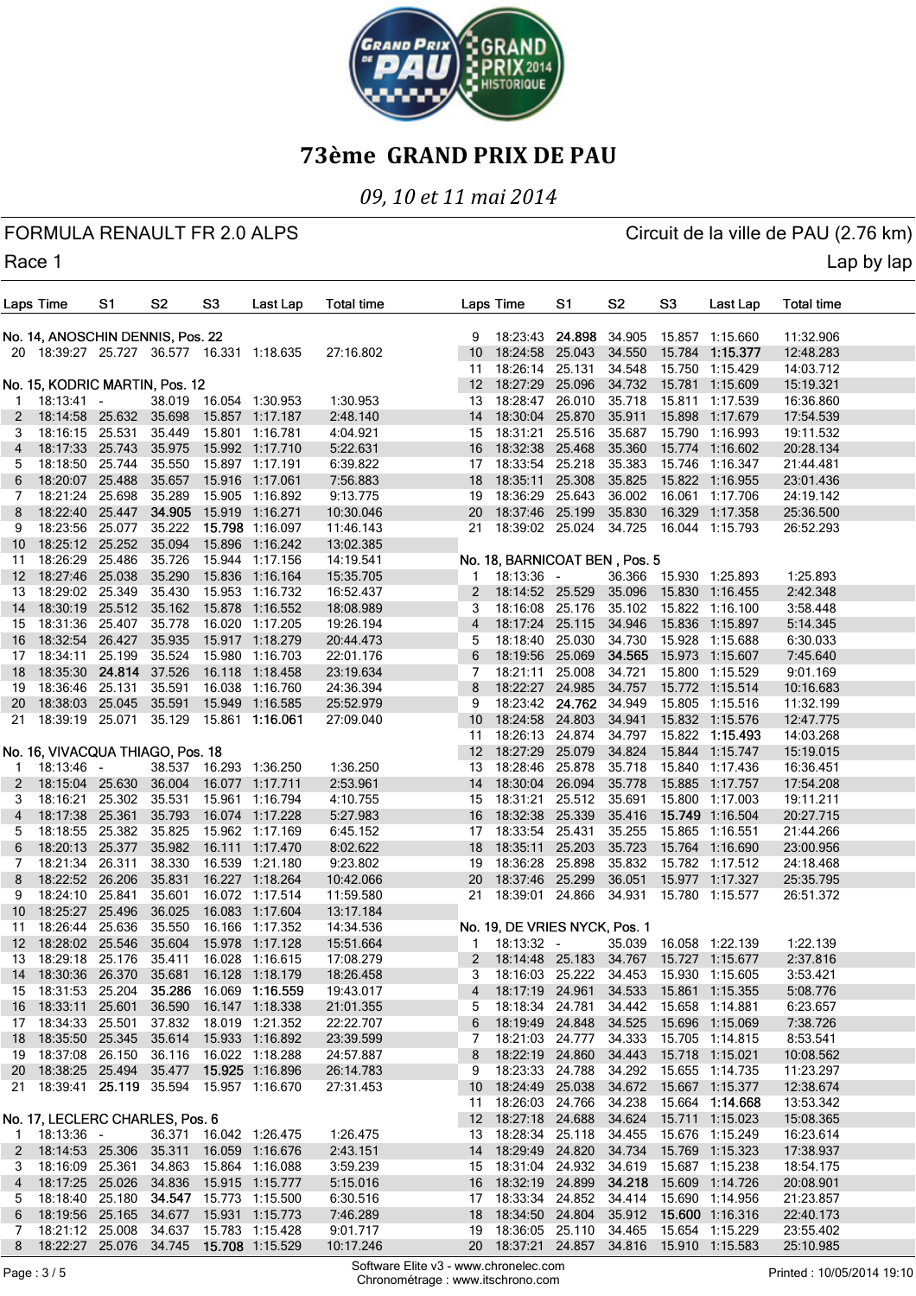

# *09, 10 et 11 mai 2014*

FORMULA RENAULT FR 2.0 ALPS CIRCUIT AND RESERVE CIRCUIT OF A CIRCUIT CHANGE OF A CIRCUIT OF A LOT OF A LOT OF A

Race 1 Lap by lap and the contract of the contract of the contract of the contract of the contract of the contract of the contract of the contract of the contract of the contract of the contract of the contract of the cont

|    | Laps Time                                      | S1     | S <sub>2</sub> | S <sub>3</sub> | Last Lap                               | Total time |                       | Laps Time                                      | S1     | S <sub>2</sub> | S <sub>3</sub> | Last Lap                               | <b>Total time</b> |  |
|----|------------------------------------------------|--------|----------------|----------------|----------------------------------------|------------|-----------------------|------------------------------------------------|--------|----------------|----------------|----------------------------------------|-------------------|--|
|    | No. 14, ANOSCHIN DENNIS, Pos. 22               |        |                |                |                                        |            | 9                     | 18:23:43 24.898                                |        | 34.905         |                | 15.857 1:15.660                        | 11:32.906         |  |
|    | 20 18:39:27 25.727 36.577 16.331 1:18.635      |        |                |                |                                        | 27:16.802  | 10 <sup>10</sup>      | 18:24:58 25.043                                |        | 34.550         |                | 15.784 1:15.377                        | 12:48.283         |  |
|    |                                                |        |                |                |                                        |            | 11                    | 18:26:14 25.131                                |        | 34.548         |                | 15.750 1:15.429                        | 14:03.712         |  |
|    | No. 15, KODRIC MARTIN, Pos. 12                 |        |                |                |                                        |            | 12 <sup>12</sup>      | 18:27:29                                       | 25.096 | 34.732         |                | 15.781 1:15.609                        | 15:19.321         |  |
|    |                                                |        |                |                |                                        |            |                       |                                                |        |                |                |                                        |                   |  |
| 1  | $18:13:41 -$                                   |        |                |                | 38.019 16.054 1:30.953                 | 1:30.953   | 13                    | 18:28:47 26.010                                |        | 35.718         |                | 15.811 1:17.539                        | 16:36.860         |  |
| 2  | 18:14:58 25.632 35.698                         |        |                |                | 15.857 1:17.187                        | 2:48.140   | 14                    | 18:30:04                                       | 25.870 | 35.911         |                | 15.898 1:17.679                        | 17:54.539         |  |
| 3  | 18:16:15 25.531                                |        | 35.449         |                | 15.801 1:16.781                        | 4:04.921   | 15                    | 18:31:21                                       | 25.516 | 35.687         |                | 15.790 1:16.993                        | 19:11.532         |  |
| 4  | 18:17:33 25.743                                |        | 35.975         |                | 15.992 1:17.710                        | 5:22.631   | 16                    | 18:32:38                                       | 25.468 | 35.360         |                | 15.774 1:16.602                        | 20:28.134         |  |
| 5  | 18:18:50 25.744                                |        | 35.550         |                | 15.897 1:17.191                        | 6:39.822   | 17                    | 18:33:54 25.218                                |        | 35.383         |                | 15.746 1:16.347                        | 21:44.481         |  |
| 6  | 18:20:07 25.488                                |        | 35.657         |                | 15.916 1:17.061                        | 7:56.883   | 18                    | 18:35:11                                       | 25.308 | 35.825         |                | 15.822 1:16.955                        | 23:01.436         |  |
| 7  | 18:21:24 25.698                                |        | 35.289         |                | 15.905 1:16.892                        | 9:13.775   | 19                    | 18:36:29                                       | 25.643 | 36.002         |                | 16.061 1:17.706                        | 24:19.142         |  |
| 8  | 18:22:40 25.447                                |        | 34.905         |                | 15.919 1:16.271                        | 10:30.046  | 20                    | 18:37:46 25.199                                |        | 35.830         |                | 16.329 1:17.358                        | 25:36.500         |  |
| 9  | 18:23:56 25.077 35.222                         |        |                |                | 15.798 1:16.097                        | 11:46.143  | 21                    | 18:39:02 25.024                                |        | 34.725         |                | 16.044 1:15.793                        | 26:52.293         |  |
| 10 | 18:25:12 25.252                                |        | 35.094         | 15.896         | 1:16.242                               | 13:02.385  |                       |                                                |        |                |                |                                        |                   |  |
| 11 | 18:26:29 25.486                                |        | 35.726         |                | 15.944 1:17.156                        | 14:19.541  |                       | No. 18, BARNICOAT BEN, Pos. 5                  |        |                |                |                                        |                   |  |
| 12 | 18:27:46 25.038                                |        | 35.290         | 15.836         | 1:16.164                               | 15:35.705  | 1.                    | $18:13:36 -$                                   |        |                |                | 36.366 15.930 1:25.893                 | 1:25.893          |  |
| 13 | 18:29:02 25.349                                |        | 35.430         |                | 15.953 1:16.732                        | 16:52.437  | $\mathbf{2}^{\prime}$ | 18:14:52 25.529                                |        | 35.096         |                | 15.830 1:16.455                        | 2:42.348          |  |
| 14 | 18:30:19 25.512                                |        | 35.162         | 15.878         | 1:16.552                               | 18:08.989  | 3                     | 18:16:08 25.176                                |        | 35.102         |                | 15.822 1:16.100                        | 3:58.448          |  |
| 15 | 18:31:36 25.407                                |        | 35.778         |                | 16.020 1:17.205                        | 19:26.194  | 4                     | 18:17:24                                       | 25.115 | 34.946         |                | 15.836 1:15.897                        | 5:14.345          |  |
| 16 | 18:32:54 26.427                                |        | 35.935         |                | 15.917 1:18.279                        | 20:44.473  | 5                     | 18:18:40 25.030                                |        | 34.730         |                | 15.928 1:15.688                        | 6:30.033          |  |
| 17 | 18:34:11                                       | 25.199 | 35.524         |                | 15.980 1:16.703                        | 22:01.176  | 6                     | 18:19:56                                       | 25.069 | 34.565         |                | 15.973 1:15.607                        | 7:45.640          |  |
| 18 | 18:35:30 24.814                                |        | 37.526         |                | 16.118 1:18.458                        | 23:19.634  | 7                     | 18:21:11                                       | 25.008 | 34.721         |                | 15.800 1:15.529                        | 9:01.169          |  |
| 19 | 18:36:46 25.131                                |        | 35.591         |                | 16.038 1:16.760                        | 24:36.394  | 8                     | 18:22:27                                       | 24.985 | 34.757         |                | 15.772 1:15.514                        | 10:16.683         |  |
| 20 | 18:38:03 25.045 35.591                         |        |                |                | 15.949 1:16.585                        | 25:52.979  | 9                     | 18:23:42 24.762                                |        | 34.949         |                | 15.805 1:15.516                        | 11:32.199         |  |
| 21 | 18:39:19 25.071 35.129                         |        |                |                | 15.861 1:16.061                        | 27:09.040  | 10 <sup>°</sup>       | 18:24:58                                       | 24.803 | 34.941         |                | 15.832 1:15.576                        | 12:47.775         |  |
|    |                                                |        |                |                |                                        |            | 11                    | 18:26:13 24.874                                |        | 34.797         |                | 15.822 1:15.493                        | 14:03.268         |  |
|    | No. 16, VIVACQUA THIAGO, Pos. 18               |        |                |                |                                        |            | 12 <sup>2</sup>       | 18:27:29                                       | 25.079 | 34.824         |                | 15.844 1:15.747                        | 15:19.015         |  |
|    |                                                |        |                |                | 38.537 16.293 1:36.250                 |            |                       | 18:28:46                                       |        |                |                |                                        |                   |  |
| -1 | $18:13:46 -$                                   |        |                |                |                                        | 1:36.250   | 13                    |                                                | 25.878 | 35.718         |                | 15.840 1:17.436                        | 16:36.451         |  |
| 2  | 18:15:04 25.630                                |        | 36.004         |                | 16.077 1:17.711                        | 2:53.961   | 14                    | 18:30:04                                       | 26.094 | 35.778         |                | 15.885 1:17.757                        | 17:54.208         |  |
| 3  | 18:16:21                                       | 25.302 | 35.531         |                | 15.961 1:16.794                        | 4:10.755   | 15                    | 18:31:21                                       | 25.512 | 35.691         |                | 15.800 1:17.003                        | 19:11.211         |  |
| 4  | 18:17:38 25.361                                |        | 35.793         |                | 16.074 1:17.228                        | 5:27.983   | 16                    | 18:32:38                                       | 25.339 | 35.416         |                | 15.749 1:16.504                        | 20:27.715         |  |
| 5  | 18:18:55 25.382                                |        | 35.825         |                | 15.962 1:17.169                        | 6:45.152   | 17                    | 18:33:54                                       | 25.431 | 35.255         |                | 15.865 1:16.551                        | 21:44.266         |  |
| 6  | 18:20:13 25.377                                |        | 35.982         |                | 16.111 1:17.470                        | 8:02.622   | 18                    | 18:35:11                                       | 25.203 | 35.723         |                | 15.764 1:16.690                        | 23:00.956         |  |
| 7  | 18:21:34 26.311                                |        | 38.330         |                | 16.539 1:21.180                        | 9:23.802   | 19                    | 18:36:28                                       | 25.898 | 35.832         |                | 15.782 1:17.512                        | 24:18.468         |  |
| 8  | 18:22:52 26.206                                |        | 35.831         |                | 16.227 1:18.264                        | 10:42.066  | 20                    | 18:37:46 25.299                                |        | 36.051         |                | 15.977 1:17.327                        | 25:35.795         |  |
| 9  | 18:24:10 25.841                                |        | 35.601         |                | 16.072 1:17.514                        | 11:59.580  | 21                    | 18:39:01 24.866                                |        | 34.931         |                | 15.780 1:15.577                        | 26:51.372         |  |
| 10 | 18:25:27 25.496                                |        | 36.025         |                | 16.083 1:17.604                        | 13:17.184  |                       |                                                |        |                |                |                                        |                   |  |
| 11 | 18:26:44 25.636                                |        | 35.550         |                | 16.166 1:17.352                        | 14:34.536  |                       | No. 19, DE VRIES NYCK, Pos. 1                  |        |                |                |                                        |                   |  |
| 12 | 18:28:02 25.546                                |        | 35.604         |                | 15.978 1:17.128                        | 15:51.664  | 1.                    | 18:13:32 -                                     |        |                |                | 35.039 16.058 1:22.139                 | 1:22.139          |  |
| 13 | 18:29:18 25.176 35.411                         |        |                |                | 16.028 1:16.615                        | 17:08.279  |                       | 2 18:14:48 25.183 34.767 15.727 1:15.677       |        |                |                |                                        | 2:37.816          |  |
|    | 14 18:30:36 26.370 35.681 16.128 1:18.179      |        |                |                |                                        | 18:26.458  | 3                     |                                                |        |                |                | 18:16:03 25.222 34.453 15.930 1:15.605 | 3:53.421          |  |
|    | 15 18:31:53 25.204 35.286 16.069 1:16.559      |        |                |                |                                        | 19:43.017  | 4                     | 18:17:19 24.961                                |        | 34.533         |                | 15.861 1:15.355                        | 5:08.776          |  |
|    | 16 18:33:11 25.601 36.590 16.147 1:18.338      |        |                |                |                                        | 21:01.355  | 5                     | 18:18:34 24.781                                |        |                |                | 34.442 15.658 1:14.881                 | 6:23.657          |  |
|    | 17 18:34:33 25.501 37.832 18.019 1:21.352      |        |                |                |                                        | 22:22.707  | 6                     | 18:19:49 24.848 34.525                         |        |                |                | 15.696 1:15.069                        | 7:38.726          |  |
|    | 18 18:35:50 25.345 35.614 15.933 1:16.892      |        |                |                |                                        | 23:39.599  | 7                     | 18:21:03 24.777                                |        | 34.333         |                | 15.705 1:14.815                        | 8:53.541          |  |
|    | 19  18:37:08  26.150  36.116  16.022  1:18.288 |        |                |                |                                        | 24:57.887  | 8                     | 18:22:19 24.860                                |        |                |                | 34.443 15.718 1:15.021                 | 10:08.562         |  |
|    | 20 18:38:25 25.494 35.477                      |        |                |                | 15.925 1:16.896                        | 26:14.783  | 9                     |                                                |        |                |                | 18:23:33 24.788 34.292 15.655 1:14.735 | 11:23.297         |  |
| 21 | 18:39:41 25.119 35.594                         |        |                |                | 15.957 1:16.670                        | 27:31.453  |                       | 10 18:24:49 25.038 34.672 15.667 1:15.377      |        |                |                |                                        | 12:38.674         |  |
|    |                                                |        |                |                |                                        |            |                       |                                                |        |                |                |                                        |                   |  |
|    |                                                |        |                |                |                                        |            | 11                    | 18:26:03 24.766                                |        |                |                | 34.238 15.664 1:14.668                 | 13:53.342         |  |
|    | No. 17, LECLERC CHARLES, Pos. 6                |        |                |                |                                        |            |                       | 12 18:27:18 24.688 34.624 15.711 1:15.023      |        |                |                |                                        | 15:08.365         |  |
| 1  | 18:13:36 -                                     |        |                |                | 36.371 16.042 1:26.475                 | 1:26.475   |                       | 13 18:28:34 25.118                             |        |                |                | 34.455 15.676 1:15.249                 | 16:23.614         |  |
| 2  |                                                |        |                |                | 18:14:53 25.306 35.311 16.059 1:16.676 | 2:43.151   |                       | 14 18:29:49 24.820                             |        |                |                | 34.734 15.769 1:15.323                 | 17:38.937         |  |
| 3  |                                                |        |                |                | 18:16:09 25.361 34.863 15.864 1:16.088 | 3:59.239   |                       | 15 18:31:04 24.932                             |        |                |                | 34.619 15.687 1:15.238                 | 18:54.175         |  |
| 4  |                                                |        |                |                | 18:17:25 25.026 34.836 15.915 1:15.777 | 5:15.016   |                       | 16 18:32:19 24.899                             |        |                |                | 34.218 15.609 1:14.726                 | 20:08.901         |  |
| 5  |                                                |        |                |                | 18:18:40 25.180 34.547 15.773 1:15.500 | 6:30.516   |                       | 17 18:33:34 24.852                             |        | 34.414         |                | 15.690 1:14.956                        | 21:23.857         |  |
| 6  | 18:19:56 25.165 34.677                         |        |                |                | 15.931 1:15.773                        | 7:46.289   |                       | 18 18:34:50 24.804                             |        |                |                | 35.912 15.600 1:16.316                 | 22:40.173         |  |
| 7  |                                                |        |                |                | 18:21:12 25.008 34.637 15.783 1:15.428 | 9:01.717   |                       | 19  18:36:05  25.110  34.465  15.654  1:15.229 |        |                |                |                                        | 23:55.402         |  |
| 8  | 18:22:27 25.076 34.745                         |        |                |                | 15.708 1:15.529                        | 10:17.246  |                       | 20 18:37:21 24.857 34.816 15.910 1:15.583      |        |                |                |                                        | 25:10.985         |  |

Software Elite v3 - www.chronelec.com Software Elite v3 - www.chronelec.com<br>Chronométrage : www.itschrono.com Printed : 10/05/2014 19:10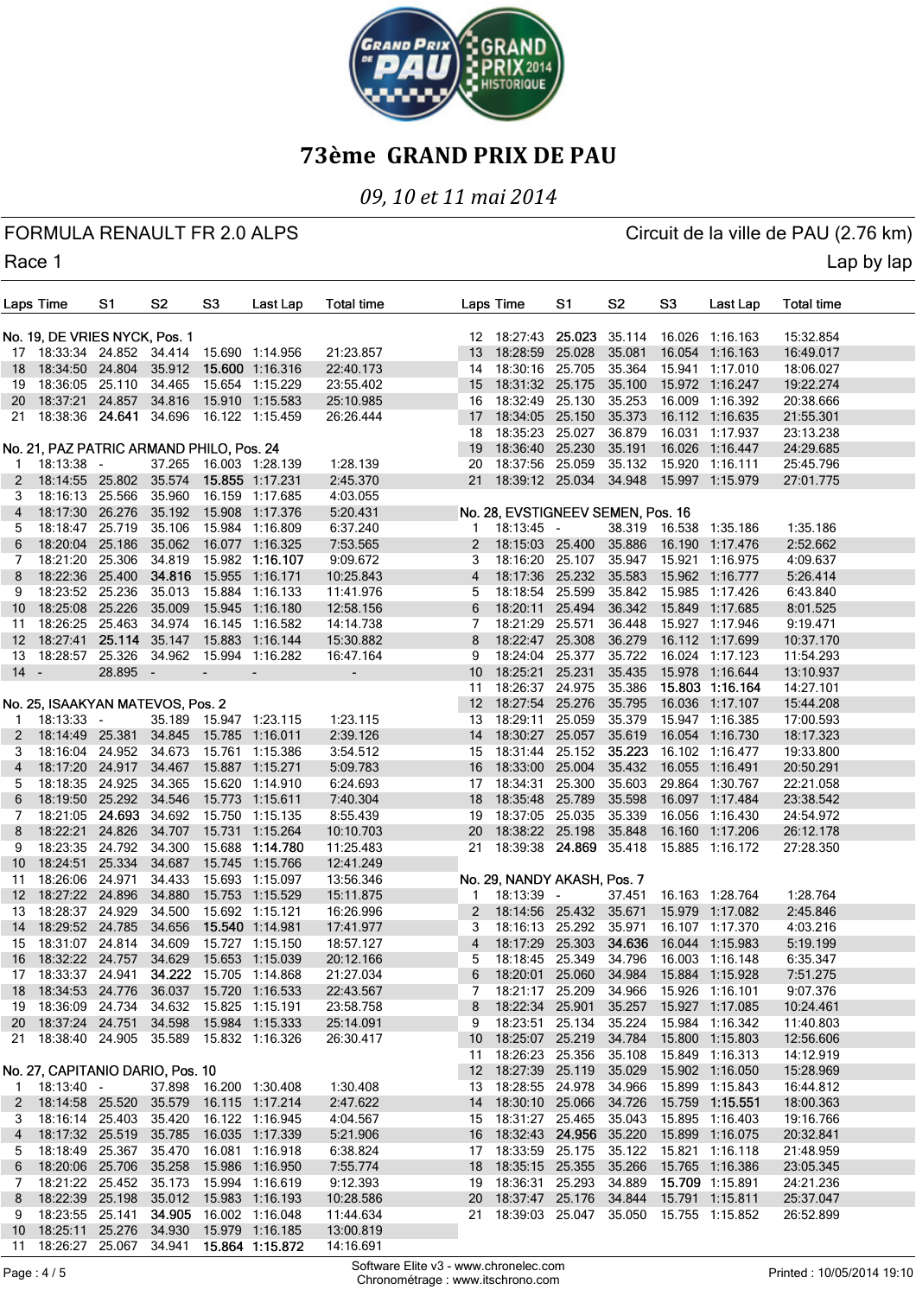

# *09, 10 et 11 mai 2014*

FORMULA RENAULT FR 2.0 ALPS CIRCUIT AND RESERVE CIRCUIT OF A CIRCUIT CHANGE OF A CIRCUIT OF A LOT OF A LOT OF A

Race 1 Lap by lap and the contract of the contract of the contract of the contract of the contract of the contract of the contract of the contract of the contract of the contract of the contract of the contract of the cont

|                 | Laps Time                                      | S1            | S2               | S3     | Last Lap                                                                         | <b>Total time</b>        |                  | Laps Time                                                              | S1     | S2               | S3     | Last Lap                           | Total time             |  |
|-----------------|------------------------------------------------|---------------|------------------|--------|----------------------------------------------------------------------------------|--------------------------|------------------|------------------------------------------------------------------------|--------|------------------|--------|------------------------------------|------------------------|--|
|                 | No. 19, DE VRIES NYCK, Pos. 1                  |               |                  |        |                                                                                  |                          |                  | 12 18:27:43 25.023                                                     |        | 35.114           |        | 16.026 1:16.163                    |                        |  |
|                 | 17 18:33:34 24.852 34.414                      |               |                  |        | 15.690 1:14.956                                                                  | 21:23.857                | 13               | 18:28:59                                                               | 25.028 | 35.081           |        | 16.054 1:16.163                    | 15:32.854<br>16:49.017 |  |
|                 | 18 18:34:50 24.804                             |               | 35.912           |        | 15.600 1:16.316                                                                  | 22:40.173                | 14               | 18:30:16 25.705                                                        |        | 35.364           |        | 15.941 1:17.010                    | 18:06.027              |  |
| 19              | 18:36:05 25.110 34.465                         |               |                  |        | 15.654 1:15.229                                                                  | 23:55.402                | 15               | 18:31:32 25.175                                                        |        | 35.100           |        | 15.972 1:16.247                    | 19:22.274              |  |
| 20              | 18:37:21 24.857                                |               | 34.816           |        | 15.910 1:15.583                                                                  | 25:10.985                | 16               | 18:32:49 25.130                                                        |        | 35.253           |        | 16.009 1:16.392                    | 20:38.666              |  |
| 21              | 18:38:36 24.641 34.696                         |               |                  |        | 16.122 1:15.459                                                                  | 26:26.444                | 17               | 18:34:05                                                               | 25.150 | 35.373           |        | 16.112 1:16.635                    | 21:55.301              |  |
|                 |                                                |               |                  |        |                                                                                  |                          | 18               | 18:35:23 25.027                                                        |        | 36.879           |        | 16.031 1:17.937                    | 23:13.238              |  |
|                 | No. 21, PAZ PATRIC ARMAND PHILO, Pos. 24       |               |                  |        |                                                                                  |                          | 19               | 18:36:40 25.230                                                        |        | 35.191           |        | 16.026 1:16.447                    | 24:29.685              |  |
| -1              | $18:13:38 -$                                   |               |                  |        | 37.265  16.003  1:28.139                                                         | 1:28.139                 | 20               | 18:37:56 25.059                                                        |        | 35.132           |        | 15.920 1:16.111                    | 25:45.796              |  |
| 2               | 18:14:55 25.802                                |               | 35.574           |        | 15.855 1:17.231                                                                  | 2:45.370                 | 21               | 18:39:12 25.034                                                        |        | 34.948           |        | 15.997 1:15.979                    | 27:01.775              |  |
| 3               | 18:16:13 25.566                                |               | 35.960           |        | 16.159 1:17.685                                                                  | 4:03.055                 |                  |                                                                        |        |                  |        |                                    |                        |  |
| 4               | 18:17:30 26.276                                |               | 35.192           |        | 15.908 1:17.376                                                                  | 5:20.431                 |                  | No. 28, EVSTIGNEEV SEMEN, Pos. 16                                      |        |                  |        |                                    |                        |  |
| 5               | 18:18:47 25.719                                |               | 35.106           |        | 15.984 1:16.809                                                                  | 6:37.240                 | 1.               | $18:13:45 -$                                                           |        |                  |        | 38.319 16.538 1:35.186             | 1:35.186               |  |
| 6               | 18:20:04 25.186                                |               | 35.062           |        | 16.077 1:16.325                                                                  | 7:53.565                 | 2                | 18:15:03 25.400                                                        |        | 35.886           |        | 16.190 1:17.476                    | 2:52.662               |  |
| 7<br>8          | 18:21:20 25.306<br>18:22:36 25.400             |               | 34.819<br>34.816 |        | 15.982 1:16.107<br>15.955 1:16.171                                               | 9:09.672<br>10:25.843    | 3<br>4           | 18:16:20 25.107<br>18:17:36 25.232                                     |        | 35.947<br>35.583 |        | 15.921 1:16.975<br>15.962 1:16.777 | 4:09.637<br>5:26.414   |  |
| 9               | 18:23:52 25.236                                |               | 35.013           |        | 15.884 1:16.133                                                                  | 11:41.976                | 5                | 18:18:54 25.599                                                        |        | 35.842           |        | 15.985 1:17.426                    | 6:43.840               |  |
| 10              | 18:25:08 25.226                                |               | 35.009           |        | 15.945 1:16.180                                                                  | 12:58.156                | 6                | 18:20:11                                                               | 25.494 | 36.342           |        | 15.849 1:17.685                    | 8:01.525               |  |
| 11              | 18:26:25 25.463                                |               | 34.974           |        | 16.145 1:16.582                                                                  | 14:14.738                | 7                | 18:21:29                                                               | 25.571 | 36.448           |        | 15.927 1:17.946                    | 9:19.471               |  |
| 12 <sup>2</sup> | 18:27:41                                       | 25.114 35.147 |                  |        | 15.883 1:16.144                                                                  | 15:30.882                | 8                | 18:22:47 25.308                                                        |        | 36.279           |        | 16.112 1:17.699                    | 10:37.170              |  |
| 13              | 18:28:57 25.326                                |               | 34.962           |        | 15.994 1:16.282                                                                  | 16:47.164                | 9                | 18:24:04                                                               | 25.377 | 35.722           |        | 16.024 1:17.123                    | 11:54.293              |  |
| $14 -$          |                                                | 28.895 -      |                  |        | $\overline{\phantom{a}}$                                                         | $\overline{\phantom{a}}$ | 10               | 18:25:21                                                               | 25.231 | 35.435           |        | 15.978 1:16.644                    | 13:10.937              |  |
|                 |                                                |               |                  |        |                                                                                  |                          | 11               | 18:26:37 24.975                                                        |        | 35.386           |        | 15.803 1:16.164                    | 14:27.101              |  |
|                 | No. 25, ISAAKYAN MATEVOS, Pos. 2               |               |                  |        |                                                                                  |                          | 12 <sup>12</sup> | 18:27:54 25.276                                                        |        | 35.795           |        | 16.036 1:17.107                    | 15:44.208              |  |
| -1              | $18:13:33 -$                                   |               | 35.189           |        | 15.947 1:23.115                                                                  | 1:23.115                 | 13               | 18:29:11                                                               | 25.059 | 35.379           |        | 15.947 1:16.385                    | 17:00.593              |  |
| 2               | 18:14:49 25.381                                |               | 34.845           |        | 15.785 1:16.011                                                                  | 2:39.126                 | 14               | 18:30:27                                                               | 25.057 | 35.619           |        | 16.054 1:16.730                    | 18:17.323              |  |
| 3               | 18:16:04 24.952                                |               | 34.673           |        | 15.761 1:15.386                                                                  | 3:54.512                 | 15               | 18:31:44 25.152                                                        |        | 35.223           |        | 16.102 1:16.477                    | 19:33.800              |  |
| 4               | 18:17:20 24.917                                |               | 34.467           |        | 15.887 1:15.271                                                                  | 5:09.783                 | 16               | 18:33:00                                                               | 25.004 | 35.432           | 16.055 | 1:16.491                           | 20:50.291              |  |
| 5               | 18:18:35 24.925                                |               | 34.365           |        | 15.620 1:14.910                                                                  | 6:24.693                 | 17               | 18:34:31                                                               | 25.300 | 35.603           |        | 29.864 1:30.767                    | 22:21.058              |  |
| 6               | 18:19:50 25.292                                |               | 34.546           |        | 15.773 1:15.611                                                                  | 7:40.304                 | 18               | 18:35:48                                                               | 25.789 | 35.598           |        | 16.097 1:17.484                    | 23:38.542              |  |
| 7               | 18:21:05 24.693 34.692                         |               |                  |        | 15.750 1:15.135                                                                  | 8:55.439                 |                  | 19 18:37:05 25.035                                                     |        | 35.339           |        | 16.056 1:16.430                    | 24:54.972              |  |
| 8               | 18:22:21                                       | 24.826        | 34.707           | 15.731 | 1:15.264                                                                         | 10:10.703                | 20               | 18:38:22 25.198                                                        |        | 35.848           |        | 16.160 1:17.206                    | 26:12.178              |  |
| 9               | 18:23:35 24.792                                |               | 34.300           |        | 15.688 1:14.780                                                                  | 11:25.483                | 21               | 18:39:38 24.869 35.418                                                 |        |                  |        | 15.885 1:16.172                    | 27:28.350              |  |
| 10<br>11        | 18:24:51<br>18:26:06 24.971                    | 25.334        | 34.687<br>34.433 |        | 15.745 1:15.766<br>15.693 1:15.097                                               | 12:41.249<br>13:56.346   |                  | No. 29, NANDY AKASH, Pos. 7                                            |        |                  |        |                                    |                        |  |
| 12              | 18:27:22 24.896                                |               | 34.880           |        | 15.753 1:15.529                                                                  | 15:11.875                | $\mathbf{1}$     | 18:13:39 -                                                             |        | 37.451           |        | 16.163 1:28.764                    | 1:28.764               |  |
| 13              | 18:28:37 24.929                                |               | 34.500           |        | 15.692 1:15.121                                                                  | 16:26.996                | 2                | 18:14:56 25.432                                                        |        | 35.671           |        | 15.979 1:17.082                    | 2:45.846               |  |
| 14              | 18:29:52 24.785                                |               | 34.656           |        | 15.540 1:14.981                                                                  | 17:41.977                | 3                | 18:16:13 25.292                                                        |        | 35.971           |        | 16.107 1:17.370                    | 4:03.216               |  |
| 15              | 18:31:07 24.814                                |               | 34.609           |        | 15.727 1:15.150                                                                  | 18:57.127                | 4                | 18:17:29                                                               | 25.303 | 34.636           |        | 16.044 1:15.983                    | 5:19.199               |  |
| 16              | 18:32:22 24.757 34.629                         |               |                  |        | 15.653 1:15.039                                                                  | 20:12.166                | 5                | 18:18:45 25.349 34.796                                                 |        |                  |        | 16.003 1:16.148                    | 6:35.347               |  |
| $1/\sqrt{2}$    | 18:33:37 24.941 34.222 15.705 1:14.868         |               |                  |        |                                                                                  | 21:27.034                | ь                | 18:20:01 25.060 34.984                                                 |        |                  |        | 15.884 1:15.928                    | 7:51.275               |  |
|                 | 18 18:34:53 24.776 36.037 15.720 1:16.533      |               |                  |        |                                                                                  | 22:43.567                | 7                | 18:21:17 25.209                                                        |        | 34.966           |        | 15.926 1:16.101                    | 9:07.376               |  |
|                 | 19  18:36:09  24.734  34.632  15.825  1:15.191 |               |                  |        |                                                                                  | 23:58.758                | 8                | 18:22:34 25.901                                                        |        | 35.257           |        | 15.927 1:17.085                    | 10:24.461              |  |
|                 | 20 18:37:24 24.751 34.598 15.984 1:15.333      |               |                  |        |                                                                                  | 25:14.091                | 9                | 18:23:51 25.134                                                        |        | 35.224           |        | 15.984 1:16.342                    | 11:40.803              |  |
|                 | 21 18:38:40 24.905 35.589 15.832 1:16.326      |               |                  |        |                                                                                  | 26:30.417                |                  | 10 18:25:07 25.219                                                     |        | 34.784           |        | 15.800 1:15.803                    | 12:56.606              |  |
|                 |                                                |               |                  |        |                                                                                  |                          |                  | 11 18:26:23 25.356                                                     |        | 35.108           |        | 15.849 1:16.313                    | 14:12.919              |  |
|                 | No. 27, CAPITANIO DARIO, Pos. 10               |               |                  |        |                                                                                  |                          |                  | 12 18:27:39 25.119                                                     |        | 35.029           |        | 15.902 1:16.050                    | 15:28.969              |  |
| 1               | $18:13:40 -$                                   |               |                  |        | 37.898  16.200  1:30.408                                                         | 1:30.408                 |                  | 13 18:28:55 24.978                                                     |        |                  |        | 34.966 15.899 1:15.843             | 16:44.812              |  |
|                 | 2 18:14:58 25.520 35.579 16.115 1:17.214       |               |                  |        |                                                                                  | 2:47.622                 |                  | 14 18:30:10 25.066                                                     |        | 34.726           |        | 15.759 1:15.551                    | 18:00.363              |  |
| 3               | 18:16:14 25.403 35.420 16.122 1:16.945         |               |                  |        |                                                                                  | 4:04.567                 |                  | 15 18:31:27 25.465 35.043                                              |        |                  |        | 15.895 1:16.403                    | 19:16.766              |  |
| 4               | 18:17:32 25.519 35.785 16.035 1:17.339         |               |                  |        |                                                                                  | 5:21.906                 |                  | 16 18:32:43 24.956 35.220                                              |        |                  |        | 15.899 1:16.075                    | 20:32.841              |  |
| 5               |                                                |               |                  |        | 18:18:49 25:367 35.470 16.081 1:16.918                                           | 6:38.824                 |                  | 17 18:33:59 25.175 35.122 15.821 1:16.118                              |        |                  |        |                                    | 21:48.959              |  |
| 6               | 18:20:06 25.706 35.258 15.986 1:16.950         |               |                  |        |                                                                                  | 7:55.774                 |                  | 18 18:35:15 25.355                                                     |        | 35.266           |        | 15.765 1:16.386<br>15.709 1:15.891 | 23:05.345              |  |
| 7<br>8          |                                                |               |                  |        | 18:21:22 25.452 35.173 15.994 1:16.619<br>18:22:39 25.198 35.012 15.983 1:16.193 | 9:12.393<br>10:28.586    |                  | 19 18:36:31 25.293 34.889<br>20 18:37:47 25.176 34.844 15.791 1:15.811 |        |                  |        |                                    | 24:21.236<br>25:37.047 |  |
| 9               |                                                |               |                  |        | 18:23:55 25.141 34.905 16.002 1:16.048                                           | 11:44.634                |                  | 21 18:39:03 25.047 35.050 15.755 1:15.852                              |        |                  |        |                                    | 26:52.899              |  |
|                 | 10 18:25:11 25.276 34.930 15.979 1:16.185      |               |                  |        |                                                                                  | 13:00.819                |                  |                                                                        |        |                  |        |                                    |                        |  |

11 18:26:27 25.067 34.941 15.864 1:15.872 14:16.691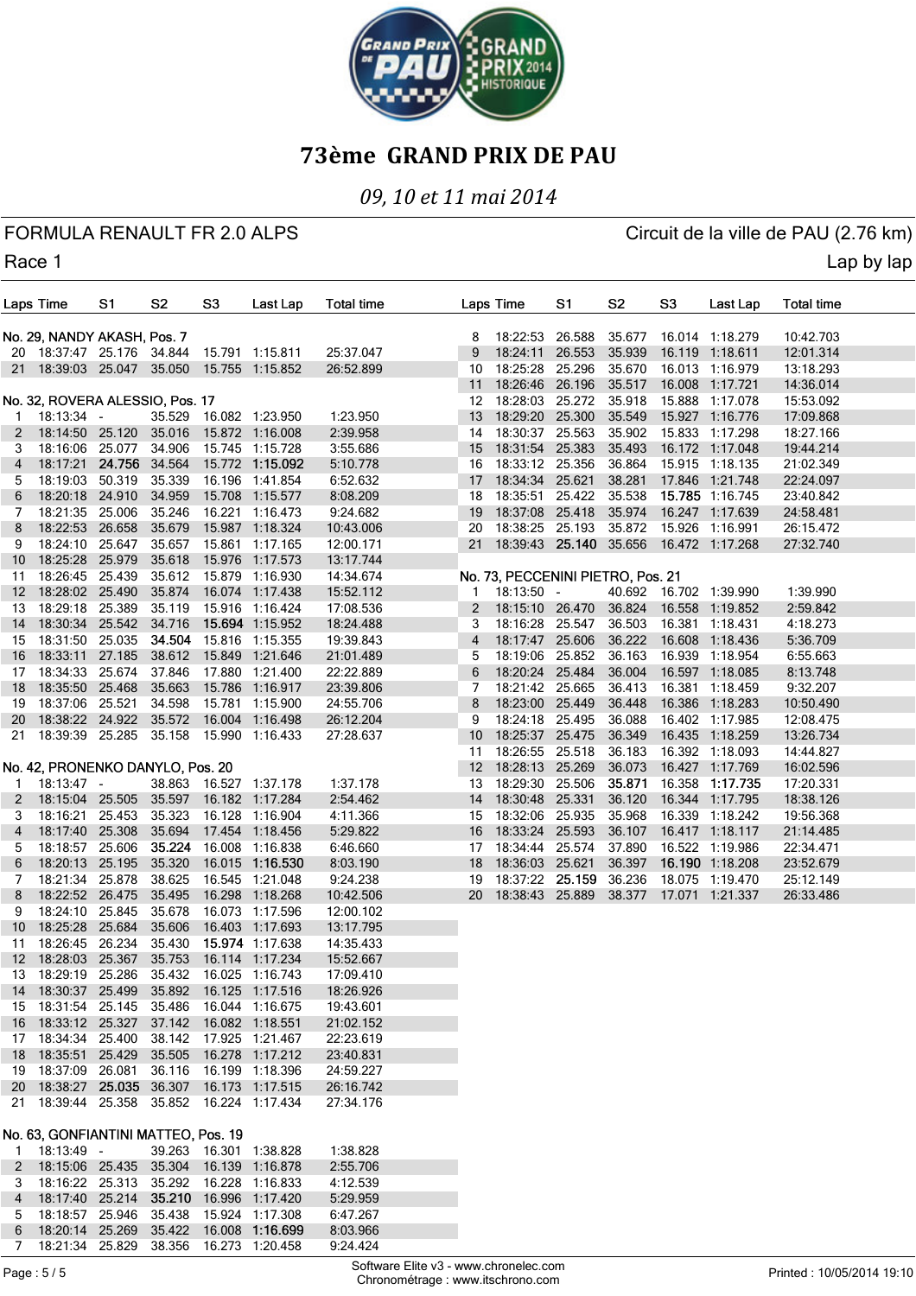

### *09, 10 et 11 mai 2014*

FORMULA RENAULT FR 2.0 ALPS CIRCUIT AND RESERVE CIRCUIT OF A CIRCUIT CHANGE OF A CIRCUIT OF A LOT OF A LOT OF A

Race 1 Lap by lap and the contract of the contract of the contract of the contract of the contract of the contract of the contract of the contract of the contract of the contract of the contract of the contract of the cont

|              | Laps Time                                 | S1 | S <sub>2</sub> | S3 | Last Lap                                       | <b>Total time</b> |                  | Laps Time                         | S1     | S <sub>2</sub> | S <sub>3</sub> | Last Lap                               | <b>Total time</b> |  |
|--------------|-------------------------------------------|----|----------------|----|------------------------------------------------|-------------------|------------------|-----------------------------------|--------|----------------|----------------|----------------------------------------|-------------------|--|
|              | No. 29, NANDY AKASH, Pos. 7               |    |                |    |                                                |                   | 8                | 18:22:53 26.588                   |        | 35.677         |                | 16.014 1:18.279                        | 10:42.703         |  |
|              | 20 18:37:47 25.176 34.844                 |    |                |    | 15.791 1:15.811                                | 25:37.047         | 9                | 18:24:11                          | 26.553 | 35.939         |                | 16.119 1:18.611                        | 12:01.314         |  |
|              |                                           |    |                |    | 21 18:39:03 25.047 35.050 15.755 1:15.852      | 26:52.899         | 10               | 18:25:28 25.296                   |        | 35.670         |                | 16.013 1:16.979                        | 13:18.293         |  |
|              |                                           |    |                |    |                                                |                   | 11               | 18:26:46 26.196                   |        | 35.517         |                | 16.008 1:17.721                        | 14:36.014         |  |
|              | No. 32, ROVERA ALESSIO, Pos. 17           |    |                |    |                                                |                   |                  | 12 18:28:03 25.272                |        | 35.918         |                | 15.888 1:17.078                        | 15:53.092         |  |
| $\mathbf{1}$ | $18:13:34 -$                              |    | 35.529         |    | 16.082 1:23.950                                | 1:23.950          | 13               | 18:29:20 25.300                   |        | 35.549         |                | 15.927 1:16.776                        | 17:09.868         |  |
| 2            | 18:14:50 25.120 35.016                    |    |                |    | 15.872 1:16.008                                | 2:39.958          | 14               | 18:30:37 25.563                   |        | 35.902         |                | 15.833 1:17.298                        | 18:27.166         |  |
| З            | 18:16:06 25.077 34.906                    |    |                |    | 15.745 1:15.728                                | 3:55.686          | 15 <sup>15</sup> | 18:31:54 25.383                   |        | 35.493         |                | 16.172 1:17.048                        | 19:44.214         |  |
| 4            | 18:17:21 24.756 34.564                    |    |                |    | 15.772 1:15.092                                | 5:10.778          | 16               | 18:33:12 25.356                   |        | 36.864         |                | 15.915 1:18.135                        | 21:02.349         |  |
| 5            | 18:19:03 50.319                           |    | 35.339         |    | 16.196 1:41.854                                | 6:52.632          | 17 <sup>2</sup>  | 18:34:34 25.621                   |        | 38.281         |                | 17.846 1:21.748                        | 22:24.097         |  |
| 6            | 18:20:18 24.910                           |    | 34.959         |    | 15.708 1:15.577                                | 8:08.209          |                  | 18 18:35:51 25.422                |        | 35.538         |                | 15.785 1:16.745                        | 23:40.842         |  |
| 7            | 18:21:35 25.006                           |    | 35.246         |    | 16.221 1:16.473                                | 9:24.682          |                  | 19 18:37:08 25.418                |        | 35.974         |                | 16.247 1:17.639                        | 24:58.481         |  |
| 8            | 18:22:53 26.658                           |    | 35.679         |    | 15.987 1:18.324                                | 10:43.006         |                  | 20 18:38:25 25.193                |        | 35.872         |                | 15.926 1:16.991                        | 26:15.472         |  |
| 9            | 18:24:10 25.647 35.657                    |    |                |    | 15.861 1:17.165                                | 12:00.171         | 21               |                                   |        |                |                | 18:39:43 25.140 35.656 16.472 1:17.268 | 27:32.740         |  |
| 10           | 18:25:28 25.979                           |    | 35.618         |    | 15.976 1:17.573                                | 13:17.744         |                  |                                   |        |                |                |                                        |                   |  |
| 11           | 18:26:45 25.439                           |    | 35.612         |    | 15.879 1:16.930                                | 14:34.674         |                  | No. 73, PECCENINI PIETRO, Pos. 21 |        |                |                |                                        |                   |  |
| 12           | 18:28:02 25.490                           |    | 35.874         |    | 16.074 1:17.438                                | 15:52.112         | 1                | 18:13:50 -                        |        |                |                | 40.692 16.702 1:39.990                 | 1:39.990          |  |
| 13           | 18:29:18 25.389                           |    | 35.119         |    | 15.916 1:16.424                                | 17:08.536         | 2                | 18:15:10 26.470                   |        | 36.824         |                | 16.558 1:19.852                        | 2:59.842          |  |
| 14           | 18:30:34 25.542 34.716                    |    |                |    | 15.694 1:15.952                                | 18:24.488         | 3                | 18:16:28 25.547                   |        | 36.503         |                | 16.381 1:18.431                        | 4:18.273          |  |
| 15           | 18:31:50 25.035                           |    | 34.504         |    | 15.816 1:15.355                                | 19:39.843         | $\overline{4}$   | 18:17:47 25.606                   |        | 36.222         |                | 16.608 1:18.436                        | 5:36.709          |  |
| 16           | 18:33:11 27.185                           |    | 38.612         |    | 15.849 1:21.646                                | 21:01.489         | 5                | 18:19:06                          | 25.852 | 36.163         |                | 16.939 1:18.954                        | 6:55.663          |  |
| 17           | 18:34:33 25.674                           |    | 37.846         |    | 17.880 1:21.400                                | 22:22.889         | 6                | 18:20:24 25.484                   |        | 36.004         |                | 16.597 1:18.085                        | 8:13.748          |  |
| 18           | 18:35:50 25.468                           |    | 35.663         |    | 15.786 1:16.917                                | 23:39.806         | 7                | 18:21:42 25.665                   |        | 36.413         |                | 16.381 1:18.459                        | 9:32.207          |  |
| 19           | 18:37:06 25.521                           |    | 34.598         |    | 15.781 1:15.900                                | 24:55.706         | 8                | 18:23:00 25.449                   |        | 36.448         |                | 16.386 1:18.283                        | 10:50.490         |  |
|              | 20 18:38:22 24.922 35.572                 |    |                |    | 16.004 1:16.498                                | 26:12.204         | 9                | 18:24:18 25.495                   |        | 36.088         |                | 16.402 1:17.985                        | 12:08.475         |  |
| 21           | 18:39:39 25.285 35.158                    |    |                |    | 15.990 1:16.433                                | 27:28.637         | 10 <sup>°</sup>  | 18:25:37 25.475                   |        | 36.349         |                | 16.435 1:18.259                        | 13:26.734         |  |
|              |                                           |    |                |    |                                                |                   | 11               | 18:26:55 25.518                   |        | 36.183         |                | 16.392 1:18.093                        | 14:44.827         |  |
|              | No. 42, PRONENKO DANYLO, Pos. 20          |    |                |    |                                                |                   | 12 <sup>12</sup> | 18:28:13 25.269                   |        | 36.073         |                | 16.427 1:17.769                        | 16:02.596         |  |
| 1            | $18:13:47 -$                              |    |                |    | 38.863 16.527 1:37.178                         | 1:37.178          | 13               | 18:29:30 25.506                   |        | 35.871         |                | 16.358 1:17.735                        | 17:20.331         |  |
| 2            | 18:15:04 25.505                           |    | 35.597         |    | 16.182 1:17.284                                | 2:54.462          | 14               | 18:30:48 25.331                   |        | 36.120         |                | 16.344 1:17.795                        | 18:38.126         |  |
| 3            | 18:16:21 25.453                           |    | 35.323         |    | 16.128 1:16.904                                | 4:11.366          | 15               | 18:32:06 25.935                   |        | 35.968         |                | 16.339 1:18.242                        | 19:56.368         |  |
| 4            | 18:17:40 25.308                           |    | 35.694         |    | 17.454 1:18.456                                | 5:29.822          | 16               | 18:33:24 25.593                   |        | 36.107         |                | 16.417 1:18.117                        | 21:14.485         |  |
| 5            | 18:18:57 25.606                           |    | 35.224         |    | 16.008 1:16.838                                | 6:46.660          | 17               | 18:34:44 25.574                   |        | 37.890         |                | 16.522 1:19.986                        | 22:34.471         |  |
| 6            | 18:20:13 25.195                           |    | 35.320         |    | 16.015 1:16.530                                | 8:03.190          |                  | 18 18:36:03 25.621                |        | 36.397         |                | 16.190 1:18.208                        | 23:52.679         |  |
| 7            | 18:21:34 25.878                           |    | 38.625         |    | 16.545 1:21.048                                | 9:24.238          |                  | 19 18:37:22 25.159                |        | 36.236         |                | 18.075 1:19.470                        | 25:12.149         |  |
| 8            | 18:22:52 26.475                           |    | 35.495         |    | 16.298 1:18.268                                | 10:42.506         |                  | 20 18:38:43 25.889                |        | 38.377         |                | 17.071 1:21.337                        | 26:33.486         |  |
| 9            | 18:24:10 25.845                           |    | 35.678         |    | 16.073 1:17.596                                | 12:00.102         |                  |                                   |        |                |                |                                        |                   |  |
| 10           | 18:25:28 25.684                           |    | 35.606         |    | 16.403 1:17.693                                | 13:17.795         |                  |                                   |        |                |                |                                        |                   |  |
| 11           | 18:26:45 26.234                           |    | 35.430         |    | 15.974 1:17.638                                | 14:35.433         |                  |                                   |        |                |                |                                        |                   |  |
|              | 12 18:28:03 25.367 35.753                 |    |                |    | 16.114 1:17.234                                | 15:52.667         |                  |                                   |        |                |                |                                        |                   |  |
|              | 13 18:29:19 25.286 35.432                 |    |                |    | 16.025 1:16.743                                | 17:09.410         |                  |                                   |        |                |                |                                        |                   |  |
|              |                                           |    |                |    | 14 18:30:37 25.499 35.892 16.125 1:17.516      | 18:26.926         |                  |                                   |        |                |                |                                        |                   |  |
|              | 15 18:31:54 25.145 35.486                 |    |                |    | 16.044 1:16.675                                | 19:43.601         |                  |                                   |        |                |                |                                        |                   |  |
|              | 16 18:33:12 25.327 37.142 16.082 1:18.551 |    |                |    |                                                | 21:02.152         |                  |                                   |        |                |                |                                        |                   |  |
|              |                                           |    |                |    | 17 18:34:34 25.400 38.142 17.925 1:21.467      | 22:23.619         |                  |                                   |        |                |                |                                        |                   |  |
|              | 18 18:35:51 25.429 35.505                 |    |                |    | 16.278 1:17.212                                | 23:40.831         |                  |                                   |        |                |                |                                        |                   |  |
|              |                                           |    |                |    | 19  18:37:09  26.081  36.116  16.199  1:18.396 | 24:59.227         |                  |                                   |        |                |                |                                        |                   |  |
|              |                                           |    |                |    | 20 18:38:27 25.035 36.307 16.173 1:17.515      | 26:16.742         |                  |                                   |        |                |                |                                        |                   |  |
|              |                                           |    |                |    | 21 18:39:44 25.358 35.852 16.224 1:17.434      | 27:34.176         |                  |                                   |        |                |                |                                        |                   |  |
|              | No. 63, GONFIANTINI MATTEO, Pos. 19       |    |                |    |                                                |                   |                  |                                   |        |                |                |                                        |                   |  |
| $\mathbf{1}$ | 18:13:49 -                                |    |                |    | 39.263  16.301  1:38.828                       | 1:38.828          |                  |                                   |        |                |                |                                        |                   |  |
| 2            |                                           |    |                |    | 18:15:06 25.435 35.304 16.139 1:16.878         | 2:55.706          |                  |                                   |        |                |                |                                        |                   |  |
| 3            |                                           |    |                |    | 18:16:22 25.313 35.292 16.228 1:16.833         | 4:12.539          |                  |                                   |        |                |                |                                        |                   |  |
| 4            |                                           |    |                |    | 18:17:40 25.214 35.210 16.996 1:17.420         | 5:29.959          |                  |                                   |        |                |                |                                        |                   |  |
| $\mathbf b$  |                                           |    |                |    | 18:18:57  25.946  35.438  15.924  1:17.308     | 6:47.267          |                  |                                   |        |                |                |                                        |                   |  |
| 6            |                                           |    |                |    | 18:20:14 25.269 35.422 16.008 1:16.699         | 8:03.966          |                  |                                   |        |                |                |                                        |                   |  |
| 7            |                                           |    |                |    | 18:21:34 25.829 38.356 16.273 1:20.458         | 9:24.424          |                  |                                   |        |                |                |                                        |                   |  |